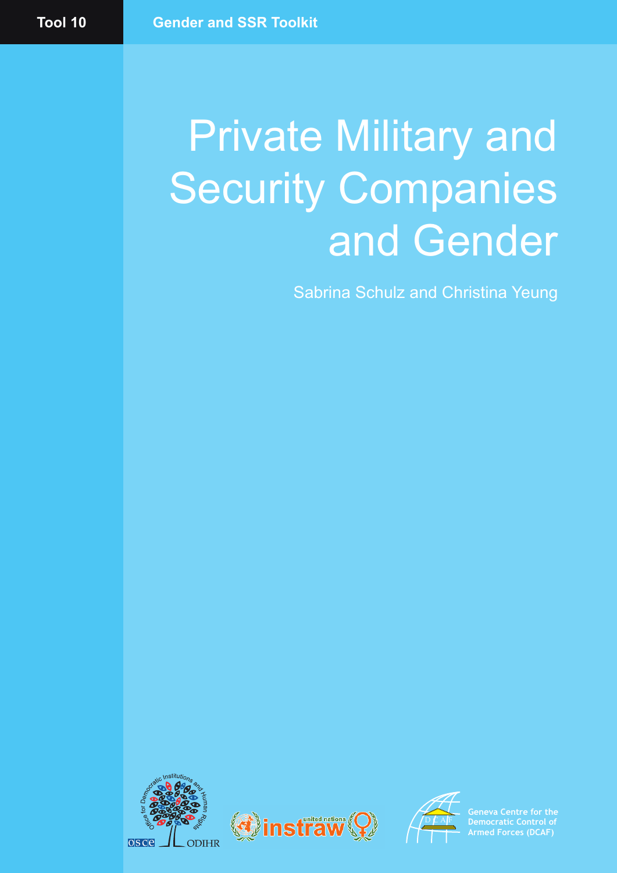# Private Military and Security Companies and Gender

Sabrina Schulz and Christina Yeung







**Geneva Centre for the Democratic Control of Armed Forces (DCAF)**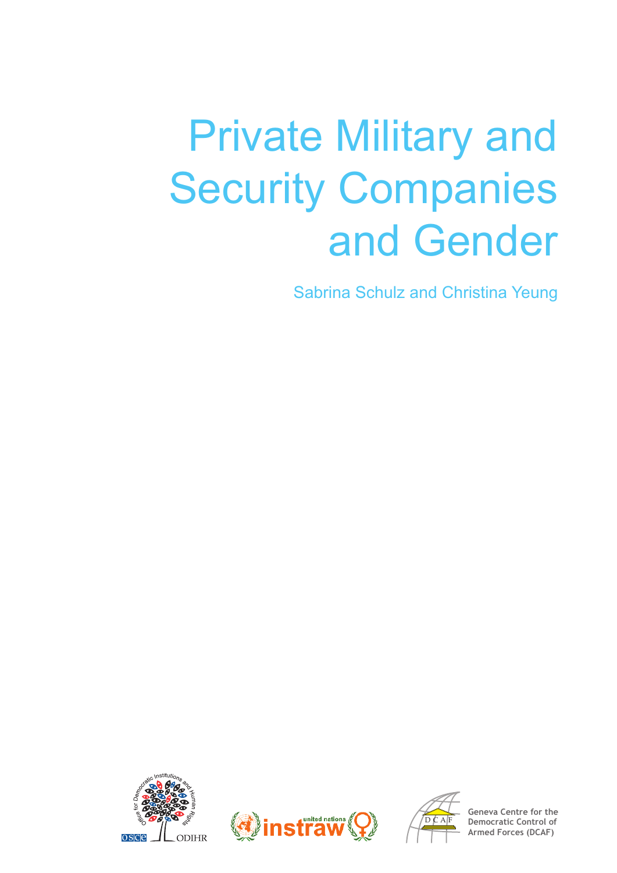# Private Military and Security Companies and Gender

Sabrina Schulz and Christina Yeung







**Geneva Centre for the Democratic Control of Armed Forces (DCAF)**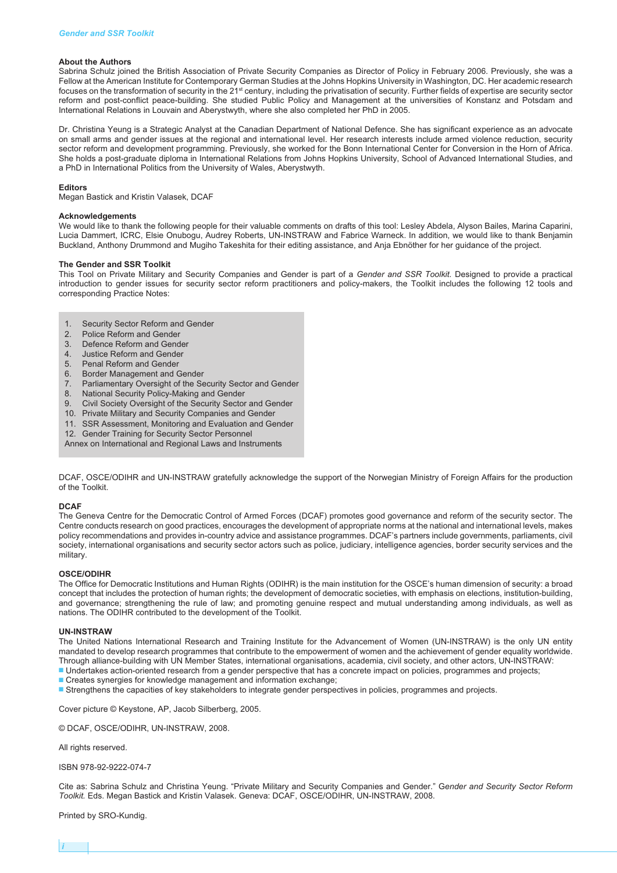#### **About the Authors**

Sabrina Schulz joined the British Association of Private Security Companies as Director of Policy in February 2006. Previously, she was a Fellow at the American Institute for Contemporary German Studies at the Johns Hopkins University in Washington, DC. Her academic research focuses on the transformation of security in the 21st century, including the privatisation of security. Further fields of expertise are security sector reform and post-conflict peace-building. She studied Public Policy and Management at the universities of Konstanz and Potsdam and International Relations in Louvain and Aberystwyth, where she also completed her PhD in 2005.

Dr. Christina Yeung is a Strategic Analyst at the Canadian Department of National Defence. She has significant experience as an advocate on small arms and gender issues at the regional and international level. Her research interests include armed violence reduction, security sector reform and development programming. Previously, she worked for the Bonn International Center for Conversion in the Horn of Africa. She holds a post-graduate diploma in International Relations from Johns Hopkins University, School of Advanced International Studies, and a PhD in International Politics from the University of Wales, Aberystwyth.

#### **Editors**

Megan Bastick and Kristin Valasek, DCAF

#### **Acknowledgements**

We would like to thank the following people for their valuable comments on drafts of this tool: Lesley Abdela, Alyson Bailes, Marina Caparini, Lucia Dammert, ICRC, Elsie Onubogu, Audrey Roberts, UN-INSTRAW and Fabrice Warneck. In addition, we would like to thank Benjamin Buckland, Anthony Drummond and Mugiho Takeshita for their editing assistance, and Anja Ebnöther for her guidance of the project.

#### **The Gender and SSR Toolkit**

This Tool on Private Military and Security Companies and Gender is part of a *Gender and SSR Toolkit.* Designed to provide a practical introduction to gender issues for security sector reform practitioners and policy-makers, the Toolkit includes the following 12 tools and corresponding Practice Notes:

- 1. Security Sector Reform and Gender
- 2. Police Reform and Gender
- 3. Defence Reform and Gender
- 4. Justice Reform and Gender
- 5. Penal Reform and Gender
- 6. Border Management and Gender
- 7. Parliamentary Oversight of the Security Sector and Gender
- 8. National Security Policy-Making and Gender
- 9. Civil Society Oversight of the Security Sector and Gender
- 10. Private Military and Security Companies and Gender
- 
- 11. SSR Assessment, Monitoring and Evaluation and Gender 12. Gender Training for Security Sector Personnel
- Annex on International and Regional Laws and Instruments

DCAF, OSCE/ODIHR and UN-INSTRAW gratefully acknowledge the support of the Norwegian Ministry of Foreign Affairs for the production of the Toolkit.

#### **DCAF**

The Geneva Centre for the Democratic Control of Armed Forces (DCAF) promotes good governance and reform of the security sector. The Centre conducts research on good practices, encourages the development of appropriate norms at the national and international levels, makes policy recommendations and provides in-country advice and assistance programmes. DCAF's partners include governments, parliaments, civil society, international organisations and security sector actors such as police, judiciary, intelligence agencies, border security services and the military.

#### **OSCE/ODIHR**

The Office for Democratic Institutions and Human Rights (ODIHR) is the main institution for the OSCE's human dimension of security: a broad concept that includes the protection of human rights; the development of democratic societies, with emphasis on elections, institution-building, and governance; strengthening the rule of law; and promoting genuine respect and mutual understanding among individuals, as well as nations. The ODIHR contributed to the development of the Toolkit.

#### **UN-INSTRAW**

The United Nations International Research and Training Institute for the Advancement of Women (UN-INSTRAW) is the only UN entity mandated to develop research programmes that contribute to the empowerment of women and the achievement of gender equality worldwide. Through alliance-building with UN Member States, international organisations, academia, civil society, and other actors, UN-INSTRAW:

- **■** Undertakes action-oriented research from a gender perspective that has a concrete impact on policies, programmes and projects;
- Creates synergies for knowledge management and information exchange;
- Strengthens the capacities of key stakeholders to integrate gender perspectives in policies, programmes and projects.

Cover picture © Keystone, AP, Jacob Silberberg, 2005.

© DCAF, OSCE/ODIHR, UN-INSTRAW, 2008.

All rights reserved.

ISBN 978-92-9222-074-7

Cite as: Sabrina Schulz and Christina Yeung. "Private Military and Security Companies and Gender." G*ender and Security Sector Reform Toolkit.* Eds. Megan Bastick and Kristin Valasek. Geneva: DCAF, OSCE/ODIHR, UN-INSTRAW, 2008.

Printed by SRO-Kundig.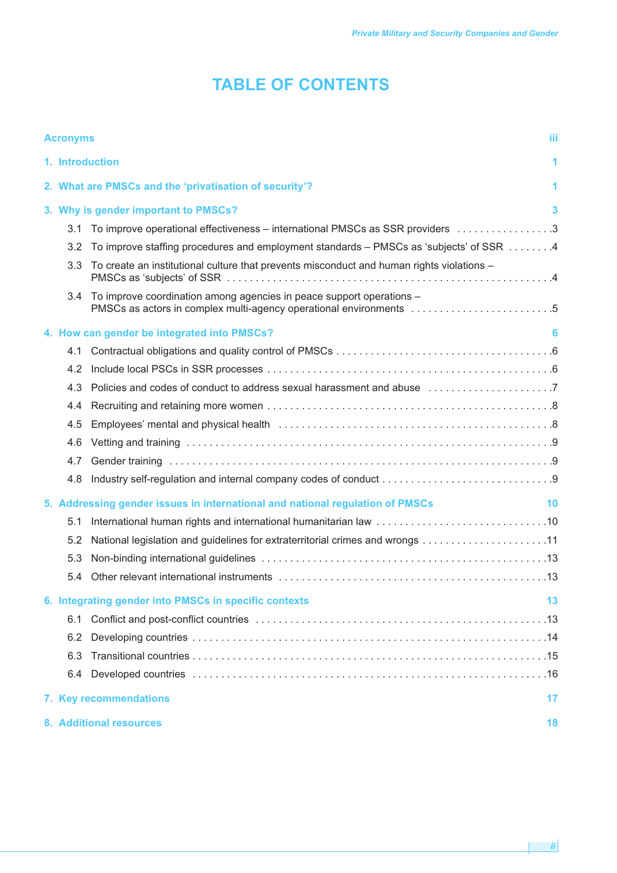## **TABLE OF CONTENTS**

|                                      | <b>Acronyms</b>               |                                                                                                                                                | Ш |  |
|--------------------------------------|-------------------------------|------------------------------------------------------------------------------------------------------------------------------------------------|---|--|
|                                      | 1. Introduction<br>1          |                                                                                                                                                |   |  |
|                                      |                               | 2. What are PMSCs and the 'privatisation of security'?                                                                                         | 1 |  |
| 3. Why is gender important to PMSCs? |                               |                                                                                                                                                |   |  |
|                                      | 3.1                           | To improve operational effectiveness – international PMSCs as SSR providers 3                                                                  |   |  |
|                                      | 3.2                           | To improve staffing procedures and employment standards – PMSCs as 'subjects' of SSR 4                                                         |   |  |
|                                      | 3.3                           | To create an institutional culture that prevents misconduct and human rights violations -                                                      |   |  |
|                                      |                               | 3.4 To improve coordination among agencies in peace support operations -<br>PMSCs as actors in complex multi-agency operational environments 5 |   |  |
|                                      |                               | 4. How can gender be integrated into PMSCs?                                                                                                    | 6 |  |
|                                      | 4.1                           |                                                                                                                                                |   |  |
|                                      | 4.2                           |                                                                                                                                                |   |  |
|                                      | 4.3                           | Policies and codes of conduct to address sexual harassment and abuse 7                                                                         |   |  |
|                                      | 4.4                           |                                                                                                                                                |   |  |
|                                      | 4.5                           |                                                                                                                                                |   |  |
|                                      | 4.6                           |                                                                                                                                                |   |  |
|                                      | 4.7                           |                                                                                                                                                |   |  |
|                                      | 4.8                           |                                                                                                                                                |   |  |
|                                      |                               | 5. Addressing gender issues in international and national regulation of PMSCs<br>10                                                            |   |  |
|                                      | 5.1                           |                                                                                                                                                |   |  |
|                                      | 5.2                           |                                                                                                                                                |   |  |
|                                      | 5.3                           |                                                                                                                                                |   |  |
|                                      | 5.4                           |                                                                                                                                                |   |  |
|                                      |                               | 6. Integrating gender into PMSCs in specific contexts<br>13                                                                                    |   |  |
|                                      | 6.1                           |                                                                                                                                                |   |  |
|                                      | 6.2                           |                                                                                                                                                |   |  |
|                                      | 6.3                           |                                                                                                                                                |   |  |
|                                      | 6.4                           |                                                                                                                                                |   |  |
|                                      | 7. Key recommendations<br>17  |                                                                                                                                                |   |  |
|                                      | 8. Additional resources<br>18 |                                                                                                                                                |   |  |

*ii*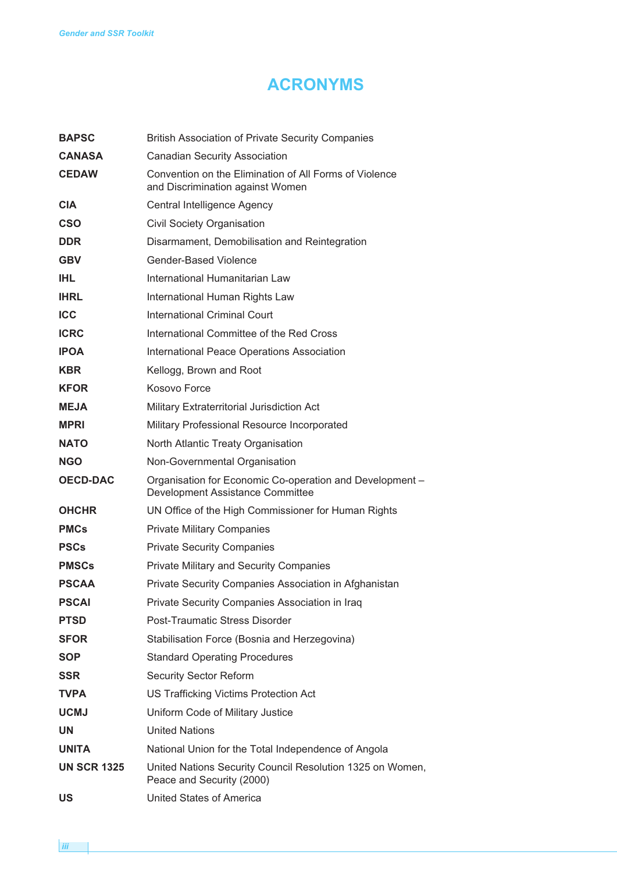## **ACRONYMS**

| <b>BAPSC</b>       | <b>British Association of Private Security Companies</b>                                     |
|--------------------|----------------------------------------------------------------------------------------------|
| <b>CANASA</b>      | <b>Canadian Security Association</b>                                                         |
| <b>CEDAW</b>       | Convention on the Elimination of All Forms of Violence<br>and Discrimination against Women   |
| <b>CIA</b>         | Central Intelligence Agency                                                                  |
| <b>CSO</b>         | Civil Society Organisation                                                                   |
| <b>DDR</b>         | Disarmament, Demobilisation and Reintegration                                                |
| <b>GBV</b>         | <b>Gender-Based Violence</b>                                                                 |
| <b>IHL</b>         | International Humanitarian Law                                                               |
| <b>IHRL</b>        | International Human Rights Law                                                               |
| <b>ICC</b>         | International Criminal Court                                                                 |
| <b>ICRC</b>        | International Committee of the Red Cross                                                     |
| <b>IPOA</b>        | International Peace Operations Association                                                   |
| <b>KBR</b>         | Kellogg, Brown and Root                                                                      |
| <b>KFOR</b>        | Kosovo Force                                                                                 |
| <b>MEJA</b>        | Military Extraterritorial Jurisdiction Act                                                   |
| <b>MPRI</b>        | Military Professional Resource Incorporated                                                  |
| <b>NATO</b>        | North Atlantic Treaty Organisation                                                           |
| <b>NGO</b>         | Non-Governmental Organisation                                                                |
|                    |                                                                                              |
| <b>OECD-DAC</b>    | Organisation for Economic Co-operation and Development -<br>Development Assistance Committee |
| <b>OHCHR</b>       | UN Office of the High Commissioner for Human Rights                                          |
| <b>PMCs</b>        | <b>Private Military Companies</b>                                                            |
| <b>PSCs</b>        | <b>Private Security Companies</b>                                                            |
| <b>PMSCs</b>       | Private Military and Security Companies                                                      |
| <b>PSCAA</b>       | Private Security Companies Association in Afghanistan                                        |
| <b>PSCAI</b>       | Private Security Companies Association in Iraq                                               |
| <b>PTSD</b>        | Post-Traumatic Stress Disorder                                                               |
| <b>SFOR</b>        | Stabilisation Force (Bosnia and Herzegovina)                                                 |
| <b>SOP</b>         | <b>Standard Operating Procedures</b>                                                         |
| <b>SSR</b>         | <b>Security Sector Reform</b>                                                                |
| <b>TVPA</b>        | US Trafficking Victims Protection Act                                                        |
| <b>UCMJ</b>        | Uniform Code of Military Justice                                                             |
| <b>UN</b>          | <b>United Nations</b>                                                                        |
| <b>UNITA</b>       | National Union for the Total Independence of Angola                                          |
| <b>UN SCR 1325</b> | United Nations Security Council Resolution 1325 on Women,<br>Peace and Security (2000)       |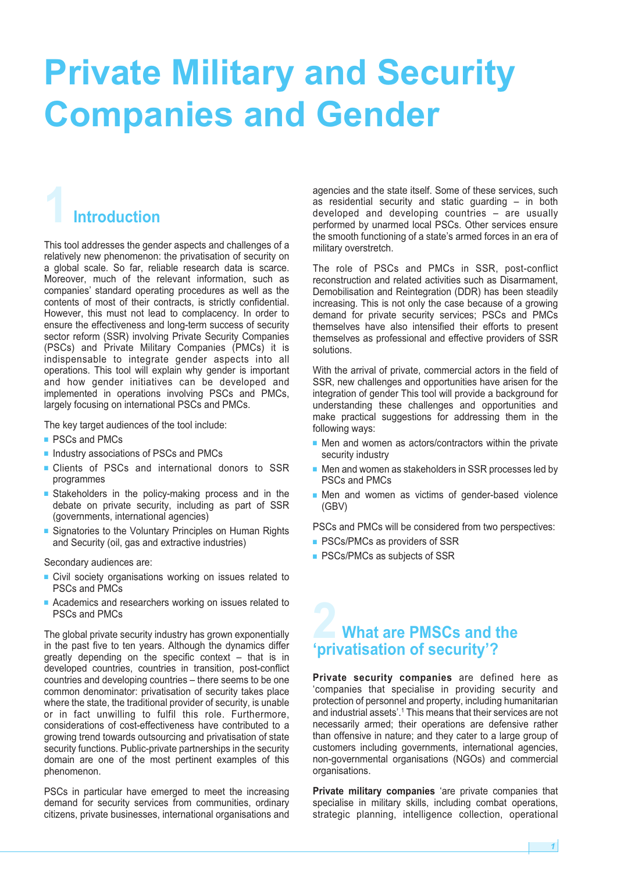## **Private Military and Security Companies and Gender**

## **1Introduction**

This tool addresses the gender aspects and challenges of a relatively new phenomenon: the privatisation of security on a global scale. So far, reliable research data is scarce. Moreover, much of the relevant information, such as companies' standard operating procedures as well as the contents of most of their contracts, is strictly confidential. However, this must not lead to complacency. In order to ensure the effectiveness and long-term success of security sector reform (SSR) involving Private Security Companies (PSCs) and Private Military Companies (PMCs) it is indispensable to integrate gender aspects into all operations. This tool will explain why gender is important and how gender initiatives can be developed and implemented in operations involving PSCs and PMCs, largely focusing on international PSCs and PMCs.

The key target audiences of the tool include:

- PSCs and PMCs
- Industry associations of PSCs and PMCs
- **■** Clients of PSCs and international donors to SSR programmes
- **■** Stakeholders in the policy-making process and in the debate on private security, including as part of SSR (governments, international agencies)
- Signatories to the Voluntary Principles on Human Rights and Security (oil, gas and extractive industries)

Secondary audiences are:

- Civil society organisations working on issues related to PSCs and PMCs
- Academics and researchers working on issues related to PSCs and PMCs

The global private security industry has grown exponentially in the past five to ten years. Although the dynamics differ greatly depending on the specific context – that is in developed countries, countries in transition, post-conflict countries and developing countries – there seems to be one common denominator: privatisation of security takes place where the state, the traditional provider of security, is unable or in fact unwilling to fulfil this role. Furthermore, considerations of cost-effectiveness have contributed to a growing trend towards outsourcing and privatisation of state security functions. Public-private partnerships in the security domain are one of the most pertinent examples of this phenomenon.

PSCs in particular have emerged to meet the increasing demand for security services from communities, ordinary citizens, private businesses, international organisations and agencies and the state itself. Some of these services, such as residential security and static guarding – in both developed and developing countries – are usually performed by unarmed local PSCs. Other services ensure the smooth functioning of a state's armed forces in an era of military overstretch.

The role of PSCs and PMCs in SSR, post-conflict reconstruction and related activities such as Disarmament, Demobilisation and Reintegration (DDR) has been steadily increasing. This is not only the case because of a growing demand for private security services; PSCs and PMCs themselves have also intensified their efforts to present themselves as professional and effective providers of SSR solutions.

With the arrival of private, commercial actors in the field of SSR, new challenges and opportunities have arisen for the integration of gender This tool will provide a background for understanding these challenges and opportunities and make practical suggestions for addressing them in the following ways:

- Men and women as actors/contractors within the private security industry
- Men and women as stakeholders in SSR processes led by PSCs and PMCs
- Men and women as victims of gender-based violence (GBV)

PSCs and PMCs will be considered from two perspectives:

- PSCs/PMCs as providers of SSR
- PSCs/PMCs as subjects of SSR

### **2 What are PMSCs and the 'privatisation of security'?**

**Private security companies** are defined here as 'companies that specialise in providing security and protection of personnel and property, including humanitarian and industrial assets'. <sup>1</sup> This means that their services are not necessarily armed; their operations are defensive rather than offensive in nature; and they cater to a large group of customers including governments, international agencies, non-governmental organisations (NGOs) and commercial organisations.

**Private military companies** 'are private companies that specialise in military skills, including combat operations, strategic planning, intelligence collection, operational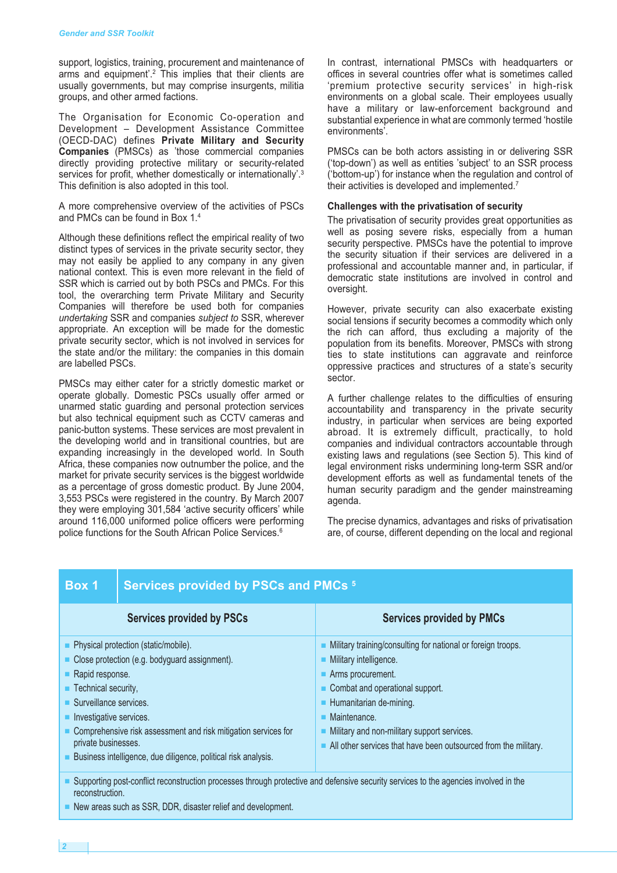support, logistics, training, procurement and maintenance of arms and equipment'. <sup>2</sup> This implies that their clients are usually governments, but may comprise insurgents, militia groups, and other armed factions.

The Organisation for Economic Co-operation and Development – Development Assistance Committee (OECD-DAC) defines **Private Military and Security Companies** (PMSCs) as 'those commercial companies directly providing protective military or security-related services for profit, whether domestically or internationally'.<sup>3</sup> This definition is also adopted in this tool.

A more comprehensive overview of the activities of PSCs and PMCs can be found in Box 1. 4

Although these definitions reflect the empirical reality of two distinct types of services in the private security sector, they may not easily be applied to any company in any given national context. This is even more relevant in the field of SSR which is carried out by both PSCs and PMCs. For this tool, the overarching term Private Military and Security Companies will therefore be used both for companies *undertaking* SSR and companies *subject to* SSR, wherever appropriate. An exception will be made for the domestic private security sector, which is not involved in services for the state and/or the military: the companies in this domain are labelled PSCs.

PMSCs may either cater for a strictly domestic market or operate globally. Domestic PSCs usually offer armed or unarmed static guarding and personal protection services but also technical equipment such as CCTV cameras and panic-button systems. These services are most prevalent in the developing world and in transitional countries, but are expanding increasingly in the developed world. In South Africa, these companies now outnumber the police, and the market for private security services is the biggest worldwide as a percentage of gross domestic product. By June 2004, 3,553 PSCs were registered in the country. By March 2007 they were employing 301,584 'active security officers' while around 116,000 uniformed police officers were performing police functions for the South African Police Services. 6

In contrast, international PMSCs with headquarters or offices in several countries offer what is sometimes called 'premium protective security services' in high-risk environments on a global scale. Their employees usually have a military or law-enforcement background and substantial experience in what are commonly termed 'hostile environments'.

PMSCs can be both actors assisting in or delivering SSR ('top-down') as well as entities 'subject' to an SSR process ('bottom-up') for instance when the regulation and control of their activities is developed and implemented. $7$ 

#### **Challenges with the privatisation of security**

The privatisation of security provides great opportunities as well as posing severe risks, especially from a human security perspective. PMSCs have the potential to improve the security situation if their services are delivered in a professional and accountable manner and, in particular, if democratic state institutions are involved in control and oversight.

However, private security can also exacerbate existing social tensions if security becomes a commodity which only the rich can afford, thus excluding a majority of the population from its benefits. Moreover, PMSCs with strong ties to state institutions can aggravate and reinforce oppressive practices and structures of a state's security sector.

A further challenge relates to the difficulties of ensuring accountability and transparency in the private security industry, in particular when services are being exported abroad. It is extremely difficult, practically, to hold companies and individual contractors accountable through existing laws and regulations (see Section 5). This kind of legal environment risks undermining long-term SSR and/or development efforts as well as fundamental tenets of the human security paradigm and the gender mainstreaming agenda.

The precise dynamics, advantages and risks of privatisation are, of course, different depending on the local and regional

#### **Box 1 Services provided by PSCs and PMCs <sup>5</sup>**

| <b>Services provided by PSCs</b>                                                                                                                                                                                                                                                                                                                                                                               | <b>Services provided by PMCs</b>                                                                                                                                                                                                                                                                                                 |
|----------------------------------------------------------------------------------------------------------------------------------------------------------------------------------------------------------------------------------------------------------------------------------------------------------------------------------------------------------------------------------------------------------------|----------------------------------------------------------------------------------------------------------------------------------------------------------------------------------------------------------------------------------------------------------------------------------------------------------------------------------|
| • Physical protection (static/mobile).<br>Close protection (e.g. bodyguard assignment).<br>Rapid response.<br>$\blacksquare$ Technical security,<br>Surveillance services.<br>$\blacksquare$ Investigative services.<br>$\blacksquare$ Comprehensive risk assessment and risk mitigation services for<br>private businesses.<br><b>Example:</b> Business intelligence, due diligence, political risk analysis. | • Military training/consulting for national or foreign troops.<br>• Military intelligence.<br>Arms procurement.<br>Combat and operational support.<br>Humanitarian de-mining.<br>• Maintenance.<br>Military and non-military support services.<br>$\blacksquare$ All other services that have been outsourced from the military. |

**■** Supporting post-conflict reconstruction processes through protective and defensive security services to the agencies involved in the reconstruction.

■ New areas such as SSR, DDR, disaster relief and development.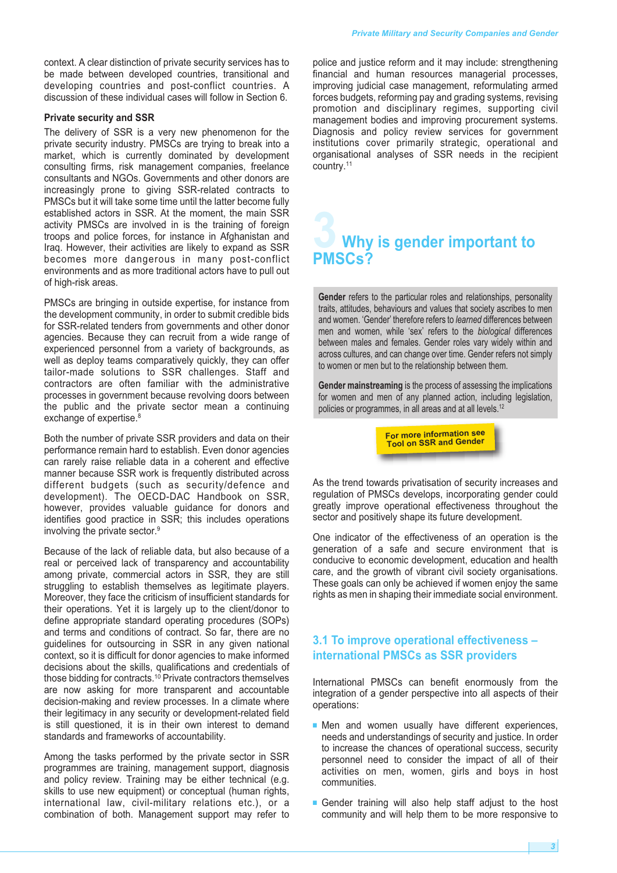context. A clear distinction of private security services has to be made between developed countries, transitional and developing countries and post-conflict countries. A discussion of these individual cases will follow in Section 6.

#### **Private security and SSR**

The delivery of SSR is a very new phenomenon for the private security industry. PMSCs are trying to break into a market, which is currently dominated by development consulting firms, risk management companies, freelance consultants and NGOs. Governments and other donors are increasingly prone to giving SSR-related contracts to PMSCs but it will take some time until the latter become fully established actors in SSR. At the moment, the main SSR activity PMSCs are involved in is the training of foreign troops and police forces, for instance in Afghanistan and Iraq. However, their activities are likely to expand as SSR becomes more dangerous in many post-conflict environments and as more traditional actors have to pull out of high-risk areas.

PMSCs are bringing in outside expertise, for instance from the development community, in order to submit credible bids for SSR-related tenders from governments and other donor agencies. Because they can recruit from a wide range of experienced personnel from a variety of backgrounds, as well as deploy teams comparatively quickly, they can offer tailor-made solutions to SSR challenges. Staff and contractors are often familiar with the administrative processes in government because revolving doors between the public and the private sector mean a continuing exchange of expertise.<sup>8</sup>

Both the number of private SSR providers and data on their performance remain hard to establish. Even donor agencies can rarely raise reliable data in a coherent and effective manner because SSR work is frequently distributed across different budgets (such as security/defence and development). The OECD-DAC Handbook on SSR, however, provides valuable guidance for donors and identifies good practice in SSR; this includes operations involving the private sector. 9

Because of the lack of reliable data, but also because of a real or perceived lack of transparency and accountability among private, commercial actors in SSR, they are still struggling to establish themselves as legitimate players. Moreover, they face the criticism of insufficient standards for their operations. Yet it is largely up to the client/donor to define appropriate standard operating procedures (SOPs) and terms and conditions of contract. So far, there are no guidelines for outsourcing in SSR in any given national context, so it is difficult for donor agencies to make informed decisions about the skills, qualifications and credentials of those bidding for contracts. <sup>10</sup> Private contractors themselves are now asking for more transparent and accountable decision-making and review processes. In a climate where their legitimacy in any security or development-related field is still questioned, it is in their own interest to demand standards and frameworks of accountability.

Among the tasks performed by the private sector in SSR programmes are training, management support, diagnosis and policy review. Training may be either technical (e.g. skills to use new equipment) or conceptual (human rights, international law, civil-military relations etc.), or a combination of both. Management support may refer to

police and justice reform and it may include: strengthening financial and human resources managerial processes, improving judicial case management, reformulating armed forces budgets, reforming pay and grading systems, revising promotion and disciplinary regimes, supporting civil management bodies and improving procurement systems. Diagnosis and policy review services for government institutions cover primarily strategic, operational and organisational analyses of SSR needs in the recipient country. 11

## **3 Why is gender important to PMSCs?**

**Gender** refers to the particular roles and relationships, personality traits, attitudes, behaviours and values that society ascribes to men and women. 'Gender' therefore refers to *learned* differences between men and women, while 'sex' refers to the *biological* differences between males and females. Gender roles vary widely within and across cultures, and can change over time. Gender refers not simply to women or men but to the relationship between them.

**Gender mainstreaming** is the process of assessing the implications for women and men of any planned action, including legislation, policies or programmes, in all areas and at all levels. 12

> **For more information see Tool on SSR and Gender**

As the trend towards privatisation of security increases and regulation of PMSCs develops, incorporating gender could greatly improve operational effectiveness throughout the sector and positively shape its future development.

One indicator of the effectiveness of an operation is the generation of a safe and secure environment that is conducive to economic development, education and health care, and the growth of vibrant civil society organisations. These goals can only be achieved if women enjoy the same rights as men in shaping their immediate social environment.

#### **3.1 To improve operational effectiveness – international PMSCs as SSR providers**

International PMSCs can benefit enormously from the integration of a gender perspective into all aspects of their operations:

- **■** Men and women usually have different experiences, needs and understandings of security and justice. In order to increase the chances of operational success, security personnel need to consider the impact of all of their activities on men, women, girls and boys in host communities.
- Gender training will also help staff adjust to the host community and will help them to be more responsive to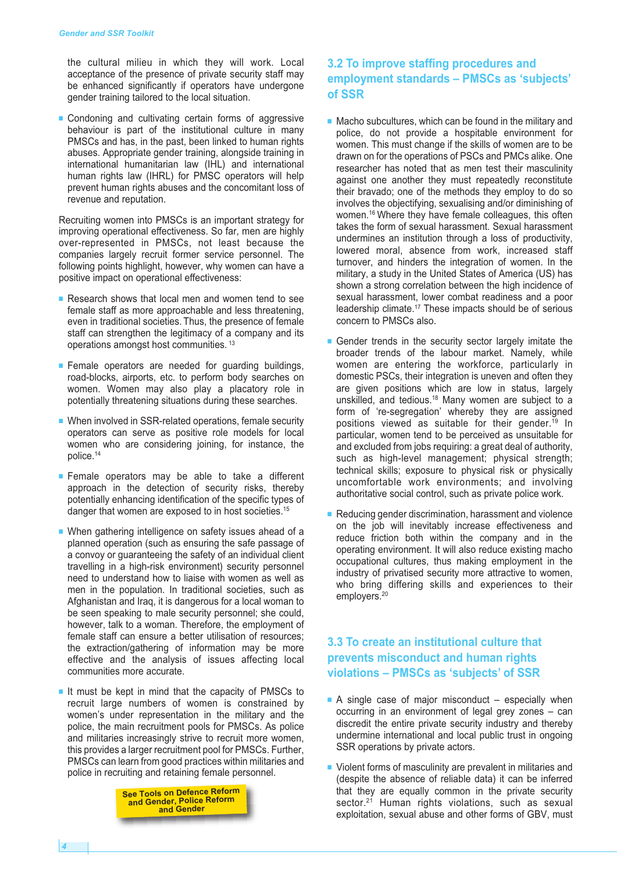the cultural milieu in which they will work. Local acceptance of the presence of private security staff may be enhanced significantly if operators have undergone gender training tailored to the local situation.

■ Condoning and cultivating certain forms of aggressive behaviour is part of the institutional culture in many PMSCs and has, in the past, been linked to human rights abuses. Appropriate gender training, alongside training in international humanitarian law (IHL) and international human rights law (IHRL) for PMSC operators will help prevent human rights abuses and the concomitant loss of revenue and reputation.

Recruiting women into PMSCs is an important strategy for improving operational effectiveness. So far, men are highly over-represented in PMSCs, not least because the companies largely recruit former service personnel. The following points highlight, however, why women can have a positive impact on operational effectiveness:

- Research shows that local men and women tend to see female staff as more approachable and less threatening, even in traditional societies. Thus, the presence of female staff can strengthen the legitimacy of a company and its operations amongst host communities. <sup>13</sup>
- **■** Female operators are needed for guarding buildings, road-blocks, airports, etc. to perform body searches on women. Women may also play a placatory role in potentially threatening situations during these searches.
- When involved in SSR-related operations, female security operators can serve as positive role models for local women who are considering joining, for instance, the police. 14
- **■** Female operators may be able to take a different approach in the detection of security risks, thereby potentially enhancing identification of the specific types of danger that women are exposed to in host societies.<sup>15</sup>
- When gathering intelligence on safety issues ahead of a planned operation (such as ensuring the safe passage of a convoy or guaranteeing the safety of an individual client travelling in a high-risk environment) security personnel need to understand how to liaise with women as well as men in the population. In traditional societies, such as Afghanistan and Iraq, it is dangerous for a local woman to be seen speaking to male security personnel; she could, however, talk to a woman. Therefore, the employment of female staff can ensure a better utilisation of resources; the extraction/gathering of information may be more effective and the analysis of issues affecting local communities more accurate.
- **■** It must be kept in mind that the capacity of PMSCs to recruit large numbers of women is constrained by women's under representation in the military and the police, the main recruitment pools for PMSCs. As police and militaries increasingly strive to recruit more women, this provides a larger recruitment pool for PMSCs. Further, PMSCs can learn from good practices within militaries and police in recruiting and retaining female personnel.

**See Tools on Defence Reform and Gender, Police Reform and Gender**

#### **3.2 To improve staffing procedures and employment standards – PMSCs as 'subjects' of SSR**

- Macho subcultures, which can be found in the military and police, do not provide a hospitable environment for women. This must change if the skills of women are to be drawn on for the operations of PSCs and PMCs alike. One researcher has noted that as men test their masculinity against one another they must repeatedly reconstitute their bravado; one of the methods they employ to do so involves the objectifying, sexualising and/or diminishing of women. <sup>16</sup> Where they have female colleagues, this often takes the form of sexual harassment. Sexual harassment undermines an institution through a loss of productivity, lowered moral, absence from work, increased staff turnover, and hinders the integration of women. In the military, a study in the United States of America (US) has shown a strong correlation between the high incidence of sexual harassment, lower combat readiness and a poor leadership climate. <sup>17</sup> These impacts should be of serious concern to PMSCs also.
- Gender trends in the security sector largely imitate the broader trends of the labour market. Namely, while women are entering the workforce, particularly in domestic PSCs, their integration is uneven and often they are given positions which are low in status, largely unskilled, and tedious. <sup>18</sup> Many women are subject to a form of 're-segregation' whereby they are assigned positions viewed as suitable for their gender. <sup>19</sup> In particular, women tend to be perceived as unsuitable for and excluded from jobs requiring: a great deal of authority, such as high-level management; physical strength; technical skills; exposure to physical risk or physically uncomfortable work environments; and involving authoritative social control, such as private police work.
- Reducing gender discrimination, harassment and violence on the job will inevitably increase effectiveness and reduce friction both within the company and in the operating environment. It will also reduce existing macho occupational cultures, thus making employment in the industry of privatised security more attractive to women, who bring differing skills and experiences to their employers. 20

#### **3.3 To create an institutional culture that prevents misconduct and human rights violations – PMSCs as 'subjects' of SSR**

- A single case of major misconduct especially when occurring in an environment of legal grey zones – can discredit the entire private security industry and thereby undermine international and local public trust in ongoing SSR operations by private actors.
- Violent forms of masculinity are prevalent in militaries and (despite the absence of reliable data) it can be inferred that they are equally common in the private security sector.<sup>21</sup> Human rights violations, such as sexual exploitation, sexual abuse and other forms of GBV, must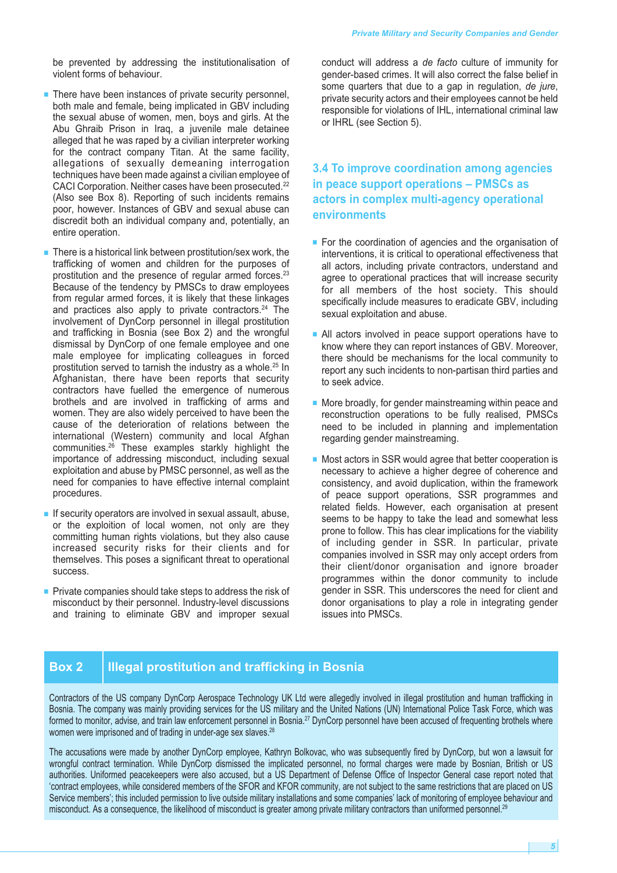be prevented by addressing the institutionalisation of violent forms of behaviour.

- There have been instances of private security personnel, both male and female, being implicated in GBV including the sexual abuse of women, men, boys and girls. At the Abu Ghraib Prison in Iraq, a juvenile male detainee alleged that he was raped by a civilian interpreter working for the contract company Titan. At the same facility, allegations of sexually demeaning interrogation techniques have been made against a civilian employee of CACI Corporation. Neither cases have been prosecuted. 22 (Also see Box 8). Reporting of such incidents remains poor, however. Instances of GBV and sexual abuse can discredit both an individual company and, potentially, an entire operation.
- There is a historical link between prostitution/sex work, the trafficking of women and children for the purposes of prostitution and the presence of regular armed forces. 23 Because of the tendency by PMSCs to draw employees from regular armed forces, it is likely that these linkages and practices also apply to private contractors. <sup>24</sup> The involvement of DynCorp personnel in illegal prostitution and trafficking in Bosnia (see Box 2) and the wrongful dismissal by DynCorp of one female employee and one male employee for implicating colleagues in forced prostitution served to tarnish the industry as a whole. <sup>25</sup> In Afghanistan, there have been reports that security contractors have fuelled the emergence of numerous brothels and are involved in trafficking of arms and women. They are also widely perceived to have been the cause of the deterioration of relations between the international (Western) community and local Afghan communities. <sup>26</sup> These examples starkly highlight the importance of addressing misconduct, including sexual exploitation and abuse by PMSC personnel, as well as the need for companies to have effective internal complaint procedures.
- If security operators are involved in sexual assault, abuse, or the exploition of local women, not only are they committing human rights violations, but they also cause increased security risks for their clients and for themselves. This poses a significant threat to operational success.
- Private companies should take steps to address the risk of misconduct by their personnel. Industry-level discussions and training to eliminate GBV and improper sexual

conduct will address a *de facto* culture of immunity for gender-based crimes. It will also correct the false belief in some quarters that due to a gap in regulation, *de jure*, private security actors and their employees cannot be held responsible for violations of IHL, international criminal law or IHRL (see Section 5).

#### **3.4 To improve coordination among agencies in peace support operations – PMSCs as actors in complex multi-agency operational environments**

- For the coordination of agencies and the organisation of interventions, it is critical to operational effectiveness that all actors, including private contractors, understand and agree to operational practices that will increase security for all members of the host society. This should specifically include measures to eradicate GBV, including sexual exploitation and abuse.
- All actors involved in peace support operations have to know where they can report instances of GBV. Moreover, there should be mechanisms for the local community to report any such incidents to non-partisan third parties and to seek advice.
- More broadly, for gender mainstreaming within peace and reconstruction operations to be fully realised, PMSCs need to be included in planning and implementation regarding gender mainstreaming.
- Most actors in SSR would agree that better cooperation is necessary to achieve a higher degree of coherence and consistency, and avoid duplication, within the framework of peace support operations, SSR programmes and related fields. However, each organisation at present seems to be happy to take the lead and somewhat less prone to follow. This has clear implications for the viability of including gender in SSR. In particular, private companies involved in SSR may only accept orders from their client/donor organisation and ignore broader programmes within the donor community to include gender in SSR. This underscores the need for client and donor organisations to play a role in integrating gender issues into PMSCs.

#### **Box 2 Illegal prostitution and trafficking in Bosnia**

Contractors of the US company DynCorp Aerospace Technology UK Ltd were allegedly involved in illegal prostitution and human trafficking in Bosnia. The company was mainly providing services for the US military and the United Nations (UN) International Police Task Force, which was formed to monitor, advise, and train law enforcement personnel in Bosnia.<sup>27</sup> DynCorp personnel have been accused of frequenting brothels where women were imprisoned and of trading in under-age sex slaves.<sup>28</sup>

The accusations were made by another DynCorp employee, Kathryn Bolkovac, who was subsequently fired by DynCorp, but won a lawsuit for wrongful contract termination. While DynCorp dismissed the implicated personnel, no formal charges were made by Bosnian, British or US authorities. Uniformed peacekeepers were also accused, but a US Department of Defense Office of Inspector General case report noted that 'contract employees, while considered members of the SFOR and KFOR community, are not subject to the same restrictions that are placed on US Service members'; this included permission to live outside military installations and some companies' lack of monitoring of employee behaviour and misconduct. As a consequence, the likelihood of misconduct is greater among private military contractors than uniformed personnel. $^{26}$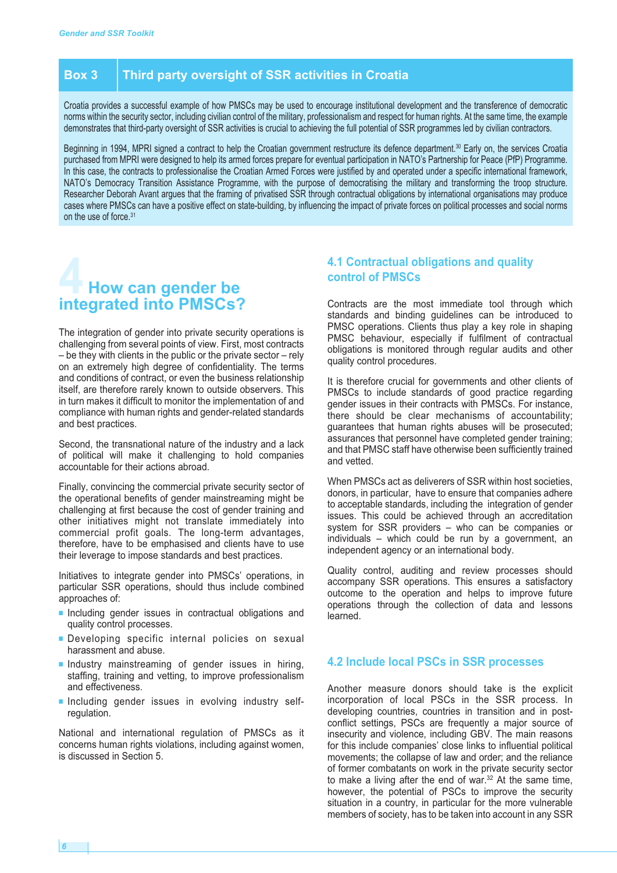#### **Box 3 Third party oversight of SSR activities in Croatia**

Croatia provides a successful example of how PMSCs may be used to encourage institutional development and the transference of democratic norms within the security sector, including civilian control of the military, professionalism and respect for human rights. At the same time, the example demonstrates that third-party oversight of SSR activities is crucial to achieving the full potential of SSR programmes led by civilian contractors.

Beginning in 1994, MPRI signed a contract to help the Croatian government restructure its defence department. <sup>30</sup> Early on, the services Croatia purchased from MPRI were designed to help its armed forces prepare for eventual participation in NATO's Partnership for Peace (PfP) Programme. In this case, the contracts to professionalise the Croatian Armed Forces were justified by and operated under a specific international framework, NATO's Democracy Transition Assistance Programme, with the purpose of democratising the military and transforming the troop structure. Researcher Deborah Avant argues that the framing of privatised SSR through contractual obligations by international organisations may produce cases where PMSCs can have a positive effect on state-building, by influencing the impact of private forces on political processes and social norms on the use of force. 31

## **4 How can gender be integrated into PMSCs?**

The integration of gender into private security operations is challenging from several points of view. First, most contracts – be they with clients in the public or the private sector – rely on an extremely high degree of confidentiality. The terms and conditions of contract, or even the business relationship itself, are therefore rarely known to outside observers. This in turn makes it difficult to monitor the implementation of and compliance with human rights and gender-related standards and best practices.

Second, the transnational nature of the industry and a lack of political will make it challenging to hold companies accountable for their actions abroad.

Finally, convincing the commercial private security sector of the operational benefits of gender mainstreaming might be challenging at first because the cost of gender training and other initiatives might not translate immediately into commercial profit goals. The long-term advantages, therefore, have to be emphasised and clients have to use their leverage to impose standards and best practices.

Initiatives to integrate gender into PMSCs' operations, in particular SSR operations, should thus include combined approaches of:

- Including gender issues in contractual obligations and quality control processes.
- **■** Developing specific internal policies on sexual harassment and abuse.
- **■** Industry mainstreaming of gender issues in hiring, staffing, training and vetting, to improve professionalism and effectiveness.
- **■** Including gender issues in evolving industry selfregulation.

National and international regulation of PMSCs as it concerns human rights violations, including against women, is discussed in Section 5.

#### **4.1 Contractual obligations and quality control of PMSCs**

Contracts are the most immediate tool through which standards and binding guidelines can be introduced to PMSC operations. Clients thus play a key role in shaping PMSC behaviour, especially if fulfilment of contractual obligations is monitored through regular audits and other quality control procedures.

It is therefore crucial for governments and other clients of PMSCs to include standards of good practice regarding gender issues in their contracts with PMSCs. For instance, there should be clear mechanisms of accountability; guarantees that human rights abuses will be prosecuted; assurances that personnel have completed gender training; and that PMSC staff have otherwise been sufficiently trained and vetted.

When PMSCs act as deliverers of SSR within host societies, donors, in particular, have to ensure that companies adhere to acceptable standards, including the integration of gender issues. This could be achieved through an accreditation system for SSR providers – who can be companies or individuals – which could be run by a government, an independent agency or an international body.

Quality control, auditing and review processes should accompany SSR operations. This ensures a satisfactory outcome to the operation and helps to improve future operations through the collection of data and lessons learned.

#### **4.2 Include local PSCs in SSR processes**

Another measure donors should take is the explicit incorporation of local PSCs in the SSR process. In developing countries, countries in transition and in postconflict settings, PSCs are frequently a major source of insecurity and violence, including GBV. The main reasons for this include companies' close links to influential political movements; the collapse of law and order; and the reliance of former combatants on work in the private security sector to make a living after the end of war. <sup>32</sup> At the same time, however, the potential of PSCs to improve the security situation in a country, in particular for the more vulnerable members of society, has to be taken into account in any SSR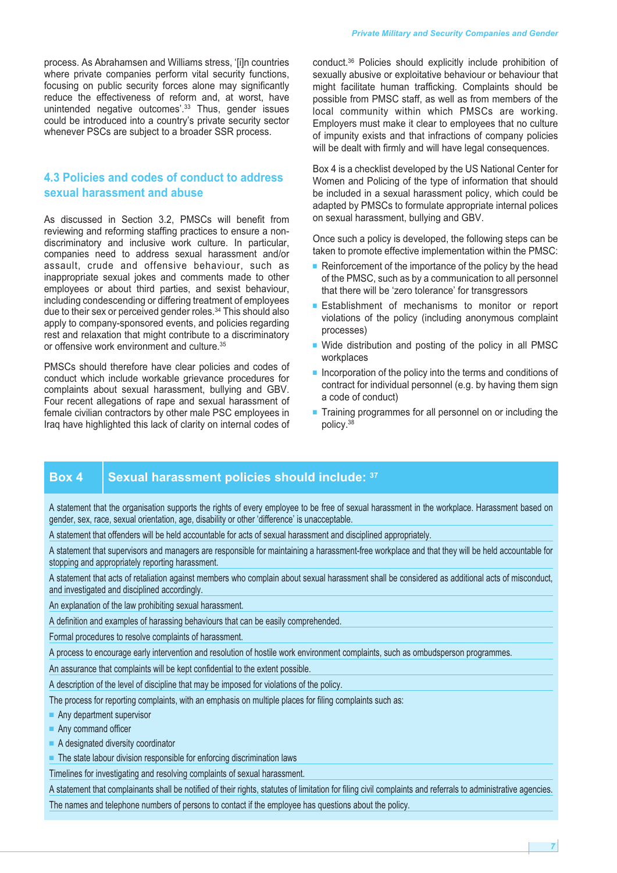process. As Abrahamsen and Williams stress, '[i]n countries where private companies perform vital security functions, focusing on public security forces alone may significantly reduce the effectiveness of reform and, at worst, have unintended negative outcomes'. <sup>33</sup> Thus, gender issues could be introduced into a country's private security sector whenever PSCs are subject to a broader SSR process.

#### **4.3 Policies and codes of conduct to address sexual harassment and abuse**

As discussed in Section 3.2, PMSCs will benefit from reviewing and reforming staffing practices to ensure a nondiscriminatory and inclusive work culture. In particular, companies need to address sexual harassment and/or assault, crude and offensive behaviour, such as inappropriate sexual jokes and comments made to other employees or about third parties, and sexist behaviour, including condescending or differing treatment of employees due to their sex or perceived gender roles. <sup>34</sup> This should also apply to company-sponsored events, and policies regarding rest and relaxation that might contribute to a discriminatory or offensive work environment and culture. 35

PMSCs should therefore have clear policies and codes of conduct which include workable grievance procedures for complaints about sexual harassment, bullying and GBV. Four recent allegations of rape and sexual harassment of female civilian contractors by other male PSC employees in Iraq have highlighted this lack of clarity on internal codes of conduct. <sup>36</sup> Policies should explicitly include prohibition of sexually abusive or exploitative behaviour or behaviour that might facilitate human trafficking. Complaints should be possible from PMSC staff, as well as from members of the local community within which PMSCs are working. Employers must make it clear to employees that no culture of impunity exists and that infractions of company policies will be dealt with firmly and will have legal consequences.

Box 4 is a checklist developed by the US National Center for Women and Policing of the type of information that should be included in a sexual harassment policy, which could be adapted by PMSCs to formulate appropriate internal polices on sexual harassment, bullying and GBV.

Once such a policy is developed, the following steps can be taken to promote effective implementation within the PMSC:

- Reinforcement of the importance of the policy by the head of the PMSC, such as by a communication to all personnel that there will be 'zero tolerance' for transgressors
- Establishment of mechanisms to monitor or report violations of the policy (including anonymous complaint processes)
- Wide distribution and posting of the policy in all PMSC workplaces
- Incorporation of the policy into the terms and conditions of contract for individual personnel (e.g. by having them sign a code of conduct)
- Training programmes for all personnel on or including the policy. 38

#### **Box 4 Sexual harassment policies should include: <sup>37</sup>**

A statement that the organisation supports the rights of every employee to be free of sexual harassment in the workplace. Harassment based on gender, sex, race, sexual orientation, age, disability or other 'difference' is unacceptable.

A statement that offenders will be held accountable for acts of sexual harassment and disciplined appropriately.

A statement that supervisors and managers are responsible for maintaining a harassment-free workplace and that they will be held accountable for stopping and appropriately reporting harassment.

A statement that acts of retaliation against members who complain about sexual harassment shall be considered as additional acts of misconduct, and investigated and disciplined accordingly.

An explanation of the law prohibiting sexual harassment.

A definition and examples of harassing behaviours that can be easily comprehended.

Formal procedures to resolve complaints of harassment.

A process to encourage early intervention and resolution of hostile work environment complaints, such as ombudsperson programmes.

An assurance that complaints will be kept confidential to the extent possible.

A description of the level of discipline that may be imposed for violations of the policy.

The process for reporting complaints, with an emphasis on multiple places for filing complaints such as:

■ Any department supervisor

- Any command officer
- A designated diversity coordinator
- The state labour division responsible for enforcing discrimination laws

Timelines for investigating and resolving complaints of sexual harassment.

A statement that complainants shall be notified of their rights, statutes of limitation for filing civil complaints and referrals to administrative agencies. The names and telephone numbers of persons to contact if the employee has questions about the policy.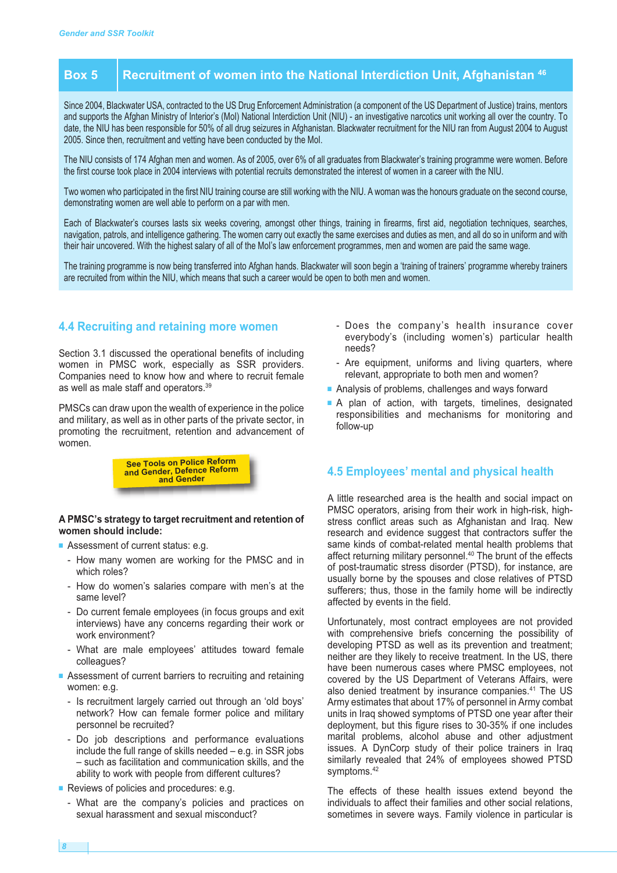### **Box 5 Recruitment of women into the National Interdiction Unit, Afghanistan <sup>46</sup>**

Since 2004, Blackwater USA, contracted to the US Drug Enforcement Administration (a component of the US Department of Justice) trains, mentors and supports the Afghan Ministry of Interior's (MoI) National Interdiction Unit (NIU) - an investigative narcotics unit working all over the country. To date, the NIU has been responsible for 50% of all drug seizures in Afghanistan. Blackwater recruitment for the NIU ran from August 2004 to August 2005. Since then, recruitment and vetting have been conducted by the MoI.

The NIU consists of 174 Afghan men and women. As of 2005, over 6% of all graduates from Blackwater's training programme were women. Before the first course took place in 2004 interviews with potential recruits demonstrated the interest of women in a career with the NIU.

Two women who participated in the first NIU training course are still working with the NIU. A woman was the honours graduate on the second course, demonstrating women are well able to perform on a par with men.

Each of Blackwater's courses lasts six weeks covering, amongst other things, training in firearms, first aid, negotiation techniques, searches, navigation, patrols, and intelligence gathering. The women carry out exactly the same exercises and duties as men, and all do so in uniform and with their hair uncovered. With the highest salary of all of the MoI's law enforcement programmes, men and women are paid the same wage.

The training programme is now being transferred into Afghan hands. Blackwater will soon begin a 'training of trainers' programme whereby trainers are recruited from within the NIU, which means that such a career would be open to both men and women.

#### **4.4 Recruiting and retaining more women**

Section 3.1 discussed the operational benefits of including women in PMSC work, especially as SSR providers. Companies need to know how and where to recruit female as well as male staff and operators. 39

PMSCs can draw upon the wealth of experience in the police and military, as well as in other parts of the private sector, in promoting the recruitment, retention and advancement of women.



#### **A PMSC's strategy to target recruitment and retention of women should include:**

- **■** Assessment of current status: e.g.
	- How many women are working for the PMSC and in which roles?
	- How do women's salaries compare with men's at the same level?
	- Do current female employees (in focus groups and exit interviews) have any concerns regarding their work or work environment?
	- What are male employees' attitudes toward female colleagues?
- Assessment of current barriers to recruiting and retaining women: e.g.
	- Is recruitment largely carried out through an 'old boys' network? How can female former police and military personnel be recruited?
	- Do job descriptions and performance evaluations include the full range of skills needed – e.g. in SSR jobs – such as facilitation and communication skills, and the ability to work with people from different cultures?
- Reviews of policies and procedures: e.g.
	- What are the company's policies and practices on sexual harassment and sexual misconduct?
- Does the company's health insurance cover everybody's (including women's) particular health needs?
- Are equipment, uniforms and living quarters, where relevant, appropriate to both men and women?
- Analysis of problems, challenges and ways forward
- **■** A plan of action, with targets, timelines, designated responsibilities and mechanisms for monitoring and follow-up

#### **4.5 Employees' mental and physical health**

A little researched area is the health and social impact on PMSC operators, arising from their work in high-risk, highstress conflict areas such as Afghanistan and Iraq. New research and evidence suggest that contractors suffer the same kinds of combat-related mental health problems that affect returning military personnel. <sup>40</sup> The brunt of the effects of post-traumatic stress disorder (PTSD), for instance, are usually borne by the spouses and close relatives of PTSD sufferers; thus, those in the family home will be indirectly affected by events in the field.

Unfortunately, most contract employees are not provided with comprehensive briefs concerning the possibility of developing PTSD as well as its prevention and treatment; neither are they likely to receive treatment. In the US, there have been numerous cases where PMSC employees, not covered by the US Department of Veterans Affairs, were also denied treatment by insurance companies. <sup>41</sup> The US Army estimates that about 17% of personnel in Army combat units in Iraq showed symptoms of PTSD one year after their deployment, but this figure rises to 30-35% if one includes marital problems, alcohol abuse and other adjustment issues. A DynCorp study of their police trainers in Iraq similarly revealed that 24% of employees showed PTSD symptoms. 42

The effects of these health issues extend beyond the individuals to affect their families and other social relations, sometimes in severe ways. Family violence in particular is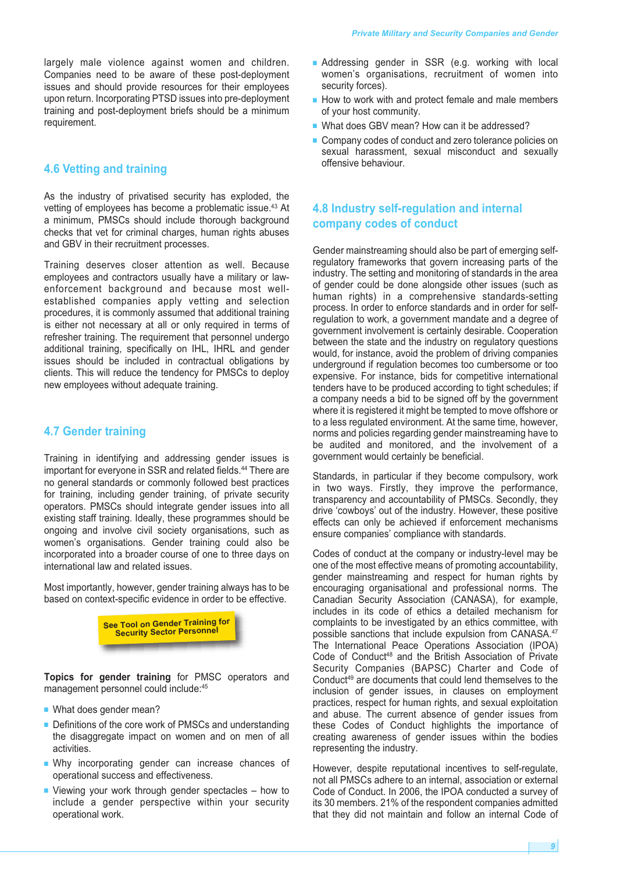largely male violence against women and children. Companies need to be aware of these post-deployment issues and should provide resources for their employees upon return. Incorporating PTSD issues into pre-deployment training and post-deployment briefs should be a minimum requirement.

#### **4.6 Vetting and training**

As the industry of privatised security has exploded, the vetting of employees has become a problematic issue. <sup>43</sup> At a minimum, PMSCs should include thorough background checks that vet for criminal charges, human rights abuses and GBV in their recruitment processes.

Training deserves closer attention as well. Because employees and contractors usually have a military or lawenforcement background and because most wellestablished companies apply vetting and selection procedures, it is commonly assumed that additional training is either not necessary at all or only required in terms of refresher training. The requirement that personnel undergo additional training, specifically on IHL, IHRL and gender issues should be included in contractual obligations by clients. This will reduce the tendency for PMSCs to deploy new employees without adequate training.

#### **4.7 Gender training**

Training in identifying and addressing gender issues is important for everyone in SSR and related fields. <sup>44</sup> There are no general standards or commonly followed best practices for training, including gender training, of private security operators. PMSCs should integrate gender issues into all existing staff training. Ideally, these programmes should be ongoing and involve civil society organisations, such as women's organisations. Gender training could also be incorporated into a broader course of one to three days on international law and related issues.

Most importantly, however, gender training always has to be based on context-specific evidence in order to be effective.



**Topics for gender training** for PMSC operators and management personnel could include:<sup>45</sup>

- **■** What does gender mean?
- Definitions of the core work of PMSCs and understanding the disaggregate impact on women and on men of all activities.
- **■** Why incorporating gender can increase chances of operational success and effectiveness.
- **■** Viewing your work through gender spectacles how to include a gender perspective within your security operational work.
- Addressing gender in SSR (e.g. working with local women's organisations, recruitment of women into security forces).
- How to work with and protect female and male members of your host community.
- What does GBV mean? How can it be addressed?
- Company codes of conduct and zero tolerance policies on sexual harassment, sexual misconduct and sexually offensive behaviour.

#### **4.8 Industry self-regulation and internal company codes of conduct**

Gender mainstreaming should also be part of emerging selfregulatory frameworks that govern increasing parts of the industry. The setting and monitoring of standards in the area of gender could be done alongside other issues (such as human rights) in a comprehensive standards-setting process. In order to enforce standards and in order for selfregulation to work, a government mandate and a degree of government involvement is certainly desirable. Cooperation between the state and the industry on regulatory questions would, for instance, avoid the problem of driving companies underground if regulation becomes too cumbersome or too expensive. For instance, bids for competitive international tenders have to be produced according to tight schedules; if a company needs a bid to be signed off by the government where it is registered it might be tempted to move offshore or to a less regulated environment. At the same time, however, norms and policies regarding gender mainstreaming have to be audited and monitored, and the involvement of a government would certainly be beneficial.

Standards, in particular if they become compulsory, work in two ways. Firstly, they improve the performance, transparency and accountability of PMSCs. Secondly, they drive 'cowboys' out of the industry. However, these positive effects can only be achieved if enforcement mechanisms ensure companies' compliance with standards.

Codes of conduct at the company or industry-level may be one of the most effective means of promoting accountability, gender mainstreaming and respect for human rights by encouraging organisational and professional norms. The Canadian Security Association (CANASA), for example, includes in its code of ethics a detailed mechanism for complaints to be investigated by an ethics committee, with possible sanctions that include expulsion from CANASA. 47 The International Peace Operations Association (IPOA) Code of Conduct <sup>48</sup> and the British Association of Private Security Companies (BAPSC) Charter and Code of Conduct <sup>49</sup> are documents that could lend themselves to the inclusion of gender issues, in clauses on employment practices, respect for human rights, and sexual exploitation and abuse. The current absence of gender issues from these Codes of Conduct highlights the importance of creating awareness of gender issues within the bodies representing the industry.

However, despite reputational incentives to self-regulate, not all PMSCs adhere to an internal, association or external Code of Conduct. In 2006, the IPOA conducted a survey of its 30 members. 21% of the respondent companies admitted that they did not maintain and follow an internal Code of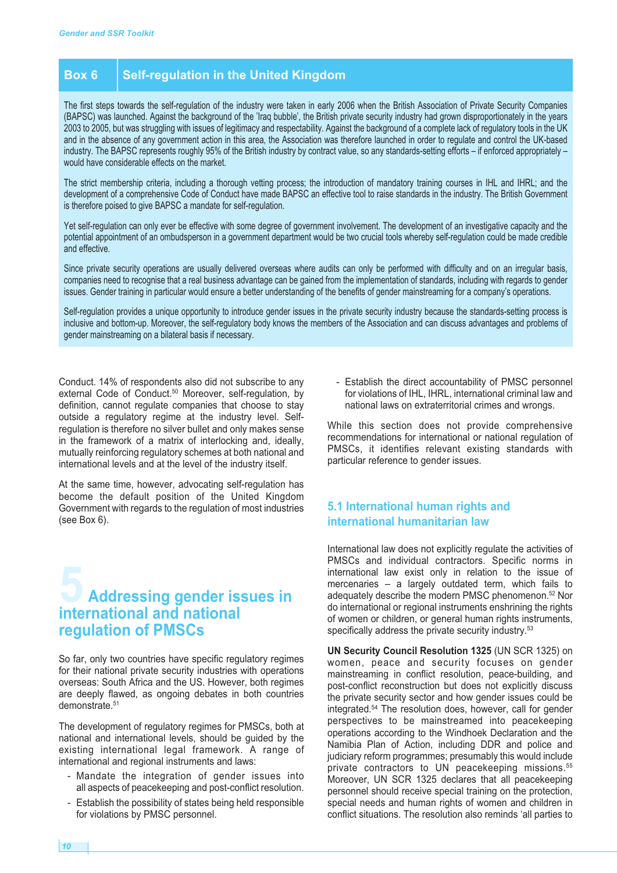#### **Box 6 Self-regulation in the United Kingdom**

The first steps towards the self-regulation of the industry were taken in early 2006 when the British Association of Private Security Companies (BAPSC) was launched. Against the background of the 'Iraq bubble', the British private security industry had grown disproportionately in the years 2003 to 2005, but was struggling with issues of legitimacy and respectability. Against the background of a complete lack of regulatory tools in the UK and in the absence of any government action in this area, the Association was therefore launched in order to regulate and control the UK-based industry. The BAPSC represents roughly 95% of the British industry by contract value, so any standards-setting efforts – if enforced appropriately – would have considerable effects on the market.

The strict membership criteria, including a thorough vetting process; the introduction of mandatory training courses in IHL and IHRL; and the development of a comprehensive Code of Conduct have made BAPSC an effective tool to raise standards in the industry. The British Government is therefore poised to give BAPSC a mandate for self-regulation.

Yet self-regulation can only ever be effective with some degree of government involvement. The development of an investigative capacity and the potential appointment of an ombudsperson in a government department would be two crucial tools whereby self-regulation could be made credible and effective.

Since private security operations are usually delivered overseas where audits can only be performed with difficulty and on an irregular basis. companies need to recognise that a real business advantage can be gained from the implementation of standards, including with regards to gender issues. Gender training in particular would ensure a better understanding of the benefits of gender mainstreaming for a company's operations.

Self-regulation provides a unique opportunity to introduce gender issues in the private security industry because the standards-setting process is inclusive and bottom-up. Moreover, the self-regulatory body knows the members of the Association and can discuss advantages and problems of gender mainstreaming on a bilateral basis if necessary.

Conduct. 14% of respondents also did not subscribe to any external Code of Conduct. <sup>50</sup> Moreover, self-regulation, by definition, cannot regulate companies that choose to stay outside a regulatory regime at the industry level. Selfregulation is therefore no silver bullet and only makes sense in the framework of a matrix of interlocking and, ideally, mutually reinforcing regulatory schemes at both national and international levels and at the level of the industry itself.

At the same time, however, advocating self-regulation has become the default position of the United Kingdom Government with regards to the regulation of most industries (see Box 6).

## **5 Addressing gender issues in international and national regulation of PMSCs**

So far, only two countries have specific regulatory regimes for their national private security industries with operations overseas: South Africa and the US. However, both regimes are deeply flawed, as ongoing debates in both countries demonstrate. 51

The development of regulatory regimes for PMSCs, both at national and international levels, should be guided by the existing international legal framework. A range of international and regional instruments and laws:

- Mandate the integration of gender issues into all aspects of peacekeeping and post-conflict resolution.
- Establish the possibility of states being held responsible for violations by PMSC personnel.

- Establish the direct accountability of PMSC personnel for violations of IHL, IHRL, international criminal law and national laws on extraterritorial crimes and wrongs.

While this section does not provide comprehensive recommendations for international or national regulation of PMSCs, it identifies relevant existing standards with particular reference to gender issues.

#### **5.1 International human rights and international humanitarian law**

International law does not explicitly regulate the activities of PMSCs and individual contractors. Specific norms in international law exist only in relation to the issue of mercenaries – a largely outdated term, which fails to adequately describe the modern PMSC phenomenon. <sup>52</sup> Nor do international or regional instruments enshrining the rights of women or children, or general human rights instruments, specifically address the private security industry.<sup>53</sup>

**UN Security Council Resolution 1325** (UN SCR 1325) on women, peace and security focuses on gender mainstreaming in conflict resolution, peace-building, and post-conflict reconstruction but does not explicitly discuss the private security sector and how gender issues could be integrated. <sup>54</sup> The resolution does, however, call for gender perspectives to be mainstreamed into peacekeeping operations according to the Windhoek Declaration and the Namibia Plan of Action, including DDR and police and judiciary reform programmes; presumably this would include private contractors to UN peacekeeping missions. 55 Moreover, UN SCR 1325 declares that all peacekeeping personnel should receive special training on the protection, special needs and human rights of women and children in conflict situations. The resolution also reminds 'all parties to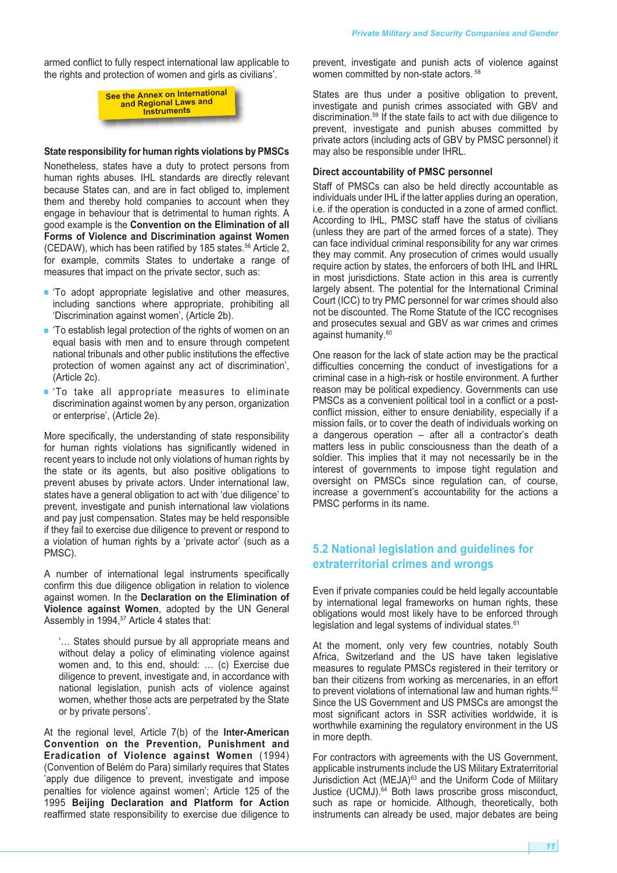armed conflict to fully respect international law applicable to the rights and protection of women and girls as civilians'.

> **See the Annex on International and Regional Laws and Instruments**

#### **State responsibility for human rights violations by PMSCs**

Nonetheless, states have a duty to protect persons from human rights abuses. IHL standards are directly relevant because States can, and are in fact obliged to, implement them and thereby hold companies to account when they engage in behaviour that is detrimental to human rights. A good example is the **Convention on the Elimination of all Forms of Violence and Discrimination against Women** (CEDAW), which has been ratified by 185 states. <sup>56</sup> Article 2, for example, commits States to undertake a range of measures that impact on the private sector, such as:

- **■** 'To adopt appropriate legislative and other measures, including sanctions where appropriate, prohibiting all 'Discrimination against women', (Article 2b).
- 'To establish legal protection of the rights of women on an equal basis with men and to ensure through competent national tribunals and other public institutions the effective protection of women against any act of discrimination', (Article 2c).
- **■** 'To take all appropriate measures to eliminate discrimination against women by any person, organization or enterprise', (Article 2e).

More specifically, the understanding of state responsibility for human rights violations has significantly widened in recent years to include not only violations of human rights by the state or its agents, but also positive obligations to prevent abuses by private actors. Under international law, states have a general obligation to act with 'due diligence' to prevent, investigate and punish international law violations and pay just compensation. States may be held responsible if they fail to exercise due diligence to prevent or respond to a violation of human rights by a 'private actor' (such as a PMSC).

A number of international legal instruments specifically confirm this due diligence obligation in relation to violence against women. In the **Declaration on the Elimination of Violence against Women**, adopted by the UN General Assembly in 1994, <sup>57</sup> Article 4 states that:

'… States should pursue by all appropriate means and without delay a policy of eliminating violence against women and, to this end, should: … (c) Exercise due diligence to prevent, investigate and, in accordance with national legislation, punish acts of violence against women, whether those acts are perpetrated by the State or by private persons'.

At the regional level, Article 7(b) of the **Inter-American Convention on the Prevention, Punishment and Eradication of Violence against Women** (1994) (Convention of Belém do Para) similarly requires that States 'apply due diligence to prevent, investigate and impose penalties for violence against women'; Article 125 of the 1995 **Beijing Declaration and Platform for Action** reaffirmed state responsibility to exercise due diligence to

prevent, investigate and punish acts of violence against women committed by non-state actors. <sup>58</sup>

States are thus under a positive obligation to prevent, investigate and punish crimes associated with GBV and discrimination. <sup>59</sup> If the state fails to act with due diligence to prevent, investigate and punish abuses committed by private actors (including acts of GBV by PMSC personnel) it may also be responsible under IHRL.

#### **Direct accountability of PMSC personnel**

Staff of PMSCs can also be held directly accountable as individuals under IHL if the latter applies during an operation, i.e. if the operation is conducted in a zone of armed conflict. According to IHL, PMSC staff have the status of civilians (unless they are part of the armed forces of a state). They can face individual criminal responsibility for any war crimes they may commit. Any prosecution of crimes would usually require action by states, the enforcers of both IHL and IHRL in most jurisdictions. State action in this area is currently largely absent. The potential for the International Criminal Court (ICC) to try PMC personnel for war crimes should also not be discounted. The Rome Statute of the ICC recognises and prosecutes sexual and GBV as war crimes and crimes against humanity. 60

One reason for the lack of state action may be the practical difficulties concerning the conduct of investigations for a criminal case in a high-risk or hostile environment. A further reason may be political expediency. Governments can use PMSCs as a convenient political tool in a conflict or a postconflict mission, either to ensure deniability, especially if a mission fails, or to cover the death of individuals working on a dangerous operation – after all a contractor's death matters less in public consciousness than the death of a soldier. This implies that it may not necessarily be in the interest of governments to impose tight regulation and oversight on PMSCs since regulation can, of course, increase a government's accountability for the actions a PMSC performs in its name.

#### **5.2 National legislation and guidelines for extraterritorial crimes and wrongs**

Even if private companies could be held legally accountable by international legal frameworks on human rights, these obligations would most likely have to be enforced through legislation and legal systems of individual states.<sup>61</sup>

At the moment, only very few countries, notably South Africa, Switzerland and the US have taken legislative measures to regulate PMSCs registered in their territory or ban their citizens from working as mercenaries, in an effort to prevent violations of international law and human rights.<sup>62</sup> Since the US Government and US PMSCs are amongst the most significant actors in SSR activities worldwide, it is worthwhile examining the regulatory environment in the US in more depth.

For contractors with agreements with the US Government, applicable instruments include the US Military Extraterritorial Jurisdiction Act (MEJA)<sup>63</sup> and the Uniform Code of Military Justice (UCMJ). <sup>64</sup> Both laws proscribe gross misconduct, such as rape or homicide. Although, theoretically, both instruments can already be used, major debates are being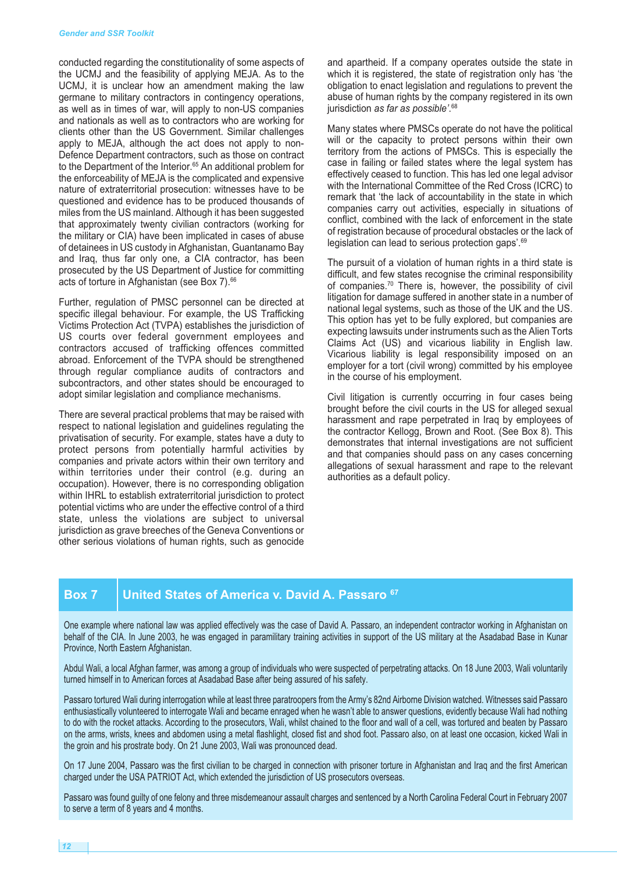conducted regarding the constitutionality of some aspects of the UCMJ and the feasibility of applying MEJA. As to the UCMJ, it is unclear how an amendment making the law germane to military contractors in contingency operations, as well as in times of war, will apply to non-US companies and nationals as well as to contractors who are working for clients other than the US Government. Similar challenges apply to MEJA, although the act does not apply to non-Defence Department contractors, such as those on contract to the Department of the Interior. <sup>65</sup> An additional problem for the enforceability of MEJA is the complicated and expensive nature of extraterritorial prosecution: witnesses have to be questioned and evidence has to be produced thousands of miles from the US mainland. Although it has been suggested that approximately twenty civilian contractors (working for the military or CIA) have been implicated in cases of abuse of detainees in US custody in Afghanistan, Guantanamo Bay and Iraq, thus far only one, a CIA contractor, has been prosecuted by the US Department of Justice for committing acts of torture in Afghanistan (see Box 7). 66

Further, regulation of PMSC personnel can be directed at specific illegal behaviour. For example, the US Trafficking Victims Protection Act (TVPA) establishes the jurisdiction of US courts over federal government employees and contractors accused of trafficking offences committed abroad. Enforcement of the TVPA should be strengthened through regular compliance audits of contractors and subcontractors, and other states should be encouraged to adopt similar legislation and compliance mechanisms.

There are several practical problems that may be raised with respect to national legislation and guidelines regulating the privatisation of security. For example, states have a duty to protect persons from potentially harmful activities by companies and private actors within their own territory and within territories under their control (e.g. during an occupation). However, there is no corresponding obligation within IHRL to establish extraterritorial jurisdiction to protect potential victims who are under the effective control of a third state, unless the violations are subject to universal jurisdiction as grave breeches of the Geneva Conventions or other serious violations of human rights, such as genocide

and apartheid. If a company operates outside the state in which it is registered, the state of registration only has 'the obligation to enact legislation and regulations to prevent the abuse of human rights by the company registered in its own jurisdiction *as far as possible'*. 68

Many states where PMSCs operate do not have the political will or the capacity to protect persons within their own territory from the actions of PMSCs. This is especially the case in failing or failed states where the legal system has effectively ceased to function. This has led one legal advisor with the International Committee of the Red Cross (ICRC) to remark that 'the lack of accountability in the state in which companies carry out activities, especially in situations of conflict, combined with the lack of enforcement in the state of registration because of procedural obstacles or the lack of legislation can lead to serious protection gaps'.<sup>69</sup>

The pursuit of a violation of human rights in a third state is difficult, and few states recognise the criminal responsibility of companies. <sup>70</sup> There is, however, the possibility of civil litigation for damage suffered in another state in a number of national legal systems, such as those of the UK and the US. This option has yet to be fully explored, but companies are expecting lawsuits under instruments such as the Alien Torts Claims Act (US) and vicarious liability in English law. Vicarious liability is legal responsibility imposed on an employer for a tort (civil wrong) committed by his employee in the course of his employment.

Civil litigation is currently occurring in four cases being brought before the civil courts in the US for alleged sexual harassment and rape perpetrated in Iraq by employees of the contractor Kellogg, Brown and Root. (See Box 8). This demonstrates that internal investigations are not sufficient and that companies should pass on any cases concerning allegations of sexual harassment and rape to the relevant authorities as a default policy.

#### **Box 7 United States of America v. David A. Passaro <sup>67</sup>**

One example where national law was applied effectively was the case of David A. Passaro, an independent contractor working in Afghanistan on behalf of the CIA. In June 2003, he was engaged in paramilitary training activities in support of the US military at the Asadabad Base in Kunar Province, North Eastern Afghanistan.

Abdul Wali, a local Afghan farmer, was among a group of individuals who were suspected of perpetrating attacks. On 18 June 2003, Wali voluntarily turned himself in to American forces at Asadabad Base after being assured of his safety.

Passaro tortured Wali during interrogation while at least three paratroopers from the Army's 82nd Airborne Division watched. Witnesses said Passaro enthusiastically volunteered to interrogate Wali and became enraged when he wasn't able to answer questions, evidently because Wali had nothing to do with the rocket attacks. According to the prosecutors, Wali, whilst chained to the floor and wall of a cell, was tortured and beaten by Passaro on the arms, wrists, knees and abdomen using a metal flashlight, closed fist and shod foot. Passaro also, on at least one occasion, kicked Wali in the groin and his prostrate body. On 21 June 2003, Wali was pronounced dead.

On 17 June 2004, Passaro was the first civilian to be charged in connection with prisoner torture in Afghanistan and Iraq and the first American charged under the USA PATRIOT Act, which extended the jurisdiction of US prosecutors overseas.

Passaro was found guilty of one felony and three misdemeanour assault charges and sentenced by a North Carolina Federal Court in February 2007 to serve a term of 8 years and 4 months.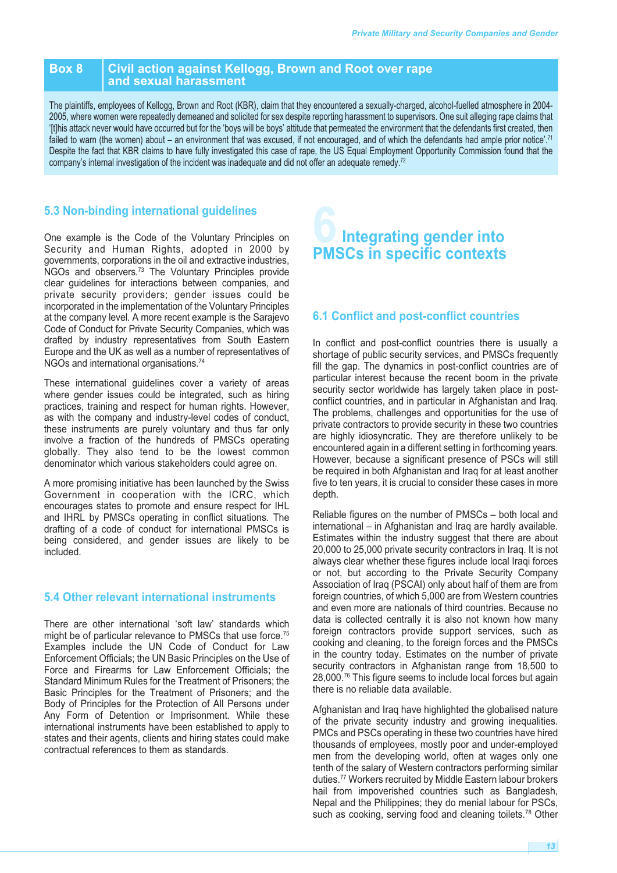#### **Box 8 Civil action against Kellogg, Brown and Root over rape and sexual harassment**

The plaintiffs, employees of Kellogg, Brown and Root (KBR), claim that they encountered a sexually-charged, alcohol-fuelled atmosphere in 2004- 2005, where women were repeatedly demeaned and solicited for sex despite reporting harassment to supervisors. One suit alleging rape claims that '[t]his attack never would have occurred but for the 'boys will be boys' attitude that permeated the environment that the defendants first created, then failed to warn (the women) about – an environment that was excused, if not encouraged, and of which the defendants had ample prior notice'. 71 Despite the fact that KBR claims to have fully investigated this case of rape, the US Equal Employment Opportunity Commission found that the company's internal investigation of the incident was inadequate and did not offer an adequate remedy.<sup>72</sup>

#### **5.3 Non-binding international guidelines**

One example is the Code of the Voluntary Principles on Security and Human Rights, adopted in 2000 by governments, corporations in the oil and extractive industries, NGOs and observers.<sup>73</sup> The Voluntary Principles provide clear guidelines for interactions between companies, and private security providers; gender issues could be incorporated in the implementation of the Voluntary Principles at the company level. A more recent example is the Sarajevo Code of Conduct for Private Security Companies, which was drafted by industry representatives from South Eastern Europe and the UK as well as a number of representatives of NGOs and international organisations. 74

These international guidelines cover a variety of areas where gender issues could be integrated, such as hiring practices, training and respect for human rights. However, as with the company and industry-level codes of conduct, these instruments are purely voluntary and thus far only involve a fraction of the hundreds of PMSCs operating globally. They also tend to be the lowest common denominator which various stakeholders could agree on.

A more promising initiative has been launched by the Swiss Government in cooperation with the ICRC, which encourages states to promote and ensure respect for IHL and IHRL by PMSCs operating in conflict situations. The drafting of a code of conduct for international PMSCs is being considered, and gender issues are likely to be included.

#### **5.4 Other relevant international instruments**

There are other international 'soft law' standards which might be of particular relevance to PMSCs that use force.<sup>75</sup> Examples include the UN Code of Conduct for Law Enforcement Officials; the UN Basic Principles on the Use of Force and Firearms for Law Enforcement Officials; the Standard Minimum Rules for the Treatment of Prisoners; the Basic Principles for the Treatment of Prisoners; and the Body of Principles for the Protection of All Persons under Any Form of Detention or Imprisonment. While these international instruments have been established to apply to states and their agents, clients and hiring states could make contractual references to them as standards.

## **6Integrating gender into PMSCs in specific contexts**

#### **6.1 Conflict and post-conflict countries**

In conflict and post-conflict countries there is usually a shortage of public security services, and PMSCs frequently fill the gap. The dynamics in post-conflict countries are of particular interest because the recent boom in the private security sector worldwide has largely taken place in postconflict countries, and in particular in Afghanistan and Iraq. The problems, challenges and opportunities for the use of private contractors to provide security in these two countries are highly idiosyncratic. They are therefore unlikely to be encountered again in a different setting in forthcoming years. However, because a significant presence of PSCs will still be required in both Afghanistan and Iraq for at least another five to ten years, it is crucial to consider these cases in more depth.

Reliable figures on the number of PMSCs – both local and international – in Afghanistan and Iraq are hardly available. Estimates within the industry suggest that there are about 20,000 to 25,000 private security contractors in Iraq. It is not always clear whether these figures include local Iraqi forces or not, but according to the Private Security Company Association of Iraq (PSCAI) only about half of them are from foreign countries, of which 5,000 are from Western countries and even more are nationals of third countries. Because no data is collected centrally it is also not known how many foreign contractors provide support services, such as cooking and cleaning, to the foreign forces and the PMSCs in the country today. Estimates on the number of private security contractors in Afghanistan range from 18,500 to 28,000. <sup>76</sup> This figure seems to include local forces but again there is no reliable data available.

Afghanistan and Iraq have highlighted the globalised nature of the private security industry and growing inequalities. PMCs and PSCs operating in these two countries have hired thousands of employees, mostly poor and under-employed men from the developing world, often at wages only one tenth of the salary of Western contractors performing similar duties. <sup>77</sup> Workers recruited by Middle Eastern labour brokers hail from impoverished countries such as Bangladesh, Nepal and the Philippines; they do menial labour for PSCs, such as cooking, serving food and cleaning toilets.<sup>78</sup> Other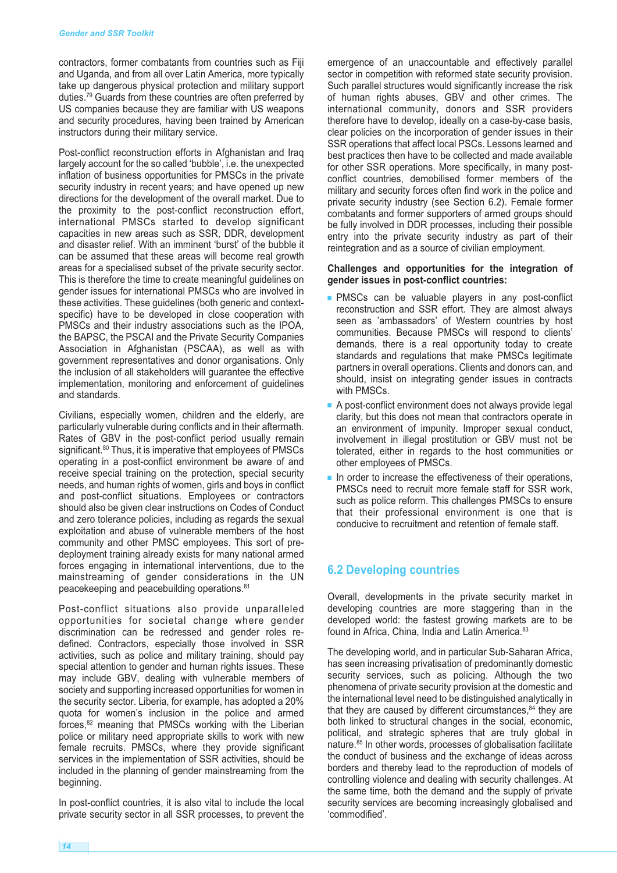contractors, former combatants from countries such as Fiji and Uganda, and from all over Latin America, more typically take up dangerous physical protection and military support duties. <sup>79</sup> Guards from these countries are often preferred by US companies because they are familiar with US weapons and security procedures, having been trained by American instructors during their military service.

Post-conflict reconstruction efforts in Afghanistan and Iraq largely account for the so called 'bubble', i.e. the unexpected inflation of business opportunities for PMSCs in the private security industry in recent years; and have opened up new directions for the development of the overall market. Due to the proximity to the post-conflict reconstruction effort, international PMSCs started to develop significant capacities in new areas such as SSR, DDR, development and disaster relief. With an imminent 'burst' of the bubble it can be assumed that these areas will become real growth areas for a specialised subset of the private security sector. This is therefore the time to create meaningful guidelines on gender issues for international PMSCs who are involved in these activities. These guidelines (both generic and contextspecific) have to be developed in close cooperation with PMSCs and their industry associations such as the IPOA, the BAPSC, the PSCAI and the Private Security Companies Association in Afghanistan (PSCAA), as well as with government representatives and donor organisations. Only the inclusion of all stakeholders will guarantee the effective implementation, monitoring and enforcement of guidelines and standards.

Civilians, especially women, children and the elderly, are particularly vulnerable during conflicts and in their aftermath. Rates of GBV in the post-conflict period usually remain significant. <sup>80</sup> Thus, it is imperative that employees of PMSCs operating in a post-conflict environment be aware of and receive special training on the protection, special security needs, and human rights of women, girls and boys in conflict and post-conflict situations. Employees or contractors should also be given clear instructions on Codes of Conduct and zero tolerance policies, including as regards the sexual exploitation and abuse of vulnerable members of the host community and other PMSC employees. This sort of predeployment training already exists for many national armed forces engaging in international interventions, due to the mainstreaming of gender considerations in the UN peacekeeping and peacebuilding operations. 81

Post-conflict situations also provide unparalleled opportunities for societal change where gender discrimination can be redressed and gender roles redefined. Contractors, especially those involved in SSR activities, such as police and military training, should pay special attention to gender and human rights issues. These may include GBV, dealing with vulnerable members of society and supporting increased opportunities for women in the security sector. Liberia, for example, has adopted a 20% quota for women's inclusion in the police and armed forces, <sup>82</sup> meaning that PMSCs working with the Liberian police or military need appropriate skills to work with new female recruits. PMSCs, where they provide significant services in the implementation of SSR activities, should be included in the planning of gender mainstreaming from the beginning.

In post-conflict countries, it is also vital to include the local private security sector in all SSR processes, to prevent the emergence of an unaccountable and effectively parallel sector in competition with reformed state security provision. Such parallel structures would significantly increase the risk of human rights abuses, GBV and other crimes. The international community, donors and SSR providers therefore have to develop, ideally on a case-by-case basis, clear policies on the incorporation of gender issues in their SSR operations that affect local PSCs. Lessons learned and best practices then have to be collected and made available for other SSR operations. More specifically, in many postconflict countries, demobilised former members of the military and security forces often find work in the police and private security industry (see Section 6.2). Female former combatants and former supporters of armed groups should be fully involved in DDR processes, including their possible entry into the private security industry as part of their reintegration and as a source of civilian employment.

#### **Challenges and opportunities for the integration of gender issues in post-conflict countries:**

- **■** PMSCs can be valuable players in any post-conflict reconstruction and SSR effort. They are almost always seen as 'ambassadors' of Western countries by host communities. Because PMSCs will respond to clients' demands, there is a real opportunity today to create standards and regulations that make PMSCs legitimate partners in overall operations. Clients and donors can, and should, insist on integrating gender issues in contracts with PMSCs.
- A post-conflict environment does not always provide legal clarity, but this does not mean that contractors operate in an environment of impunity. Improper sexual conduct, involvement in illegal prostitution or GBV must not be tolerated, either in regards to the host communities or other employees of PMSCs.
- In order to increase the effectiveness of their operations, PMSCs need to recruit more female staff for SSR work, such as police reform. This challenges PMSCs to ensure that their professional environment is one that is conducive to recruitment and retention of female staff.

#### **6.2 Developing countries**

Overall, developments in the private security market in developing countries are more staggering than in the developed world: the fastest growing markets are to be found in Africa, China, India and Latin America.<sup>83</sup>

The developing world, and in particular Sub-Saharan Africa, has seen increasing privatisation of predominantly domestic security services, such as policing. Although the two phenomena of private security provision at the domestic and the international level need to be distinguished analytically in that they are caused by different circumstances, <sup>84</sup> they are both linked to structural changes in the social, economic, political, and strategic spheres that are truly global in nature. <sup>85</sup> In other words, processes of globalisation facilitate the conduct of business and the exchange of ideas across borders and thereby lead to the reproduction of models of controlling violence and dealing with security challenges. At the same time, both the demand and the supply of private security services are becoming increasingly globalised and 'commodified'.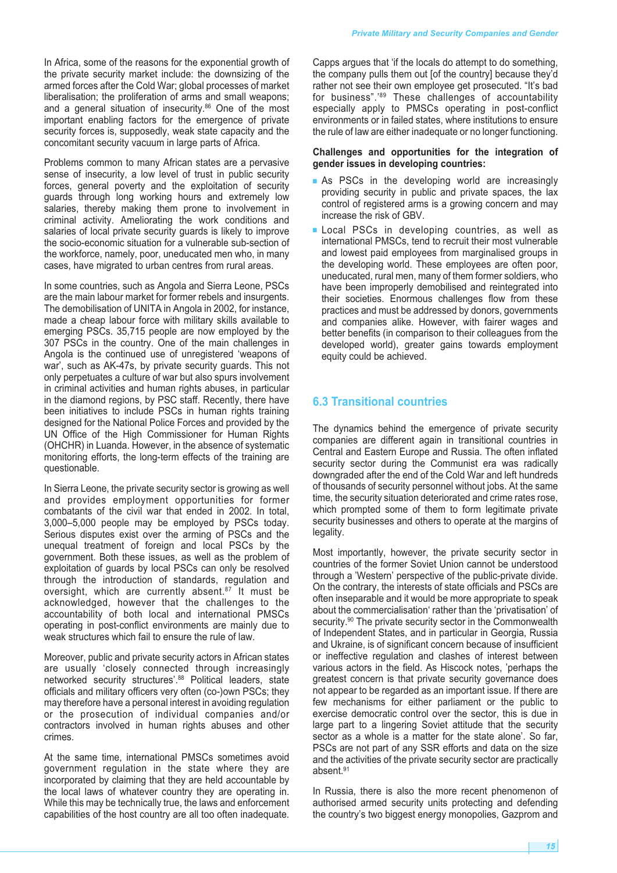In Africa, some of the reasons for the exponential growth of the private security market include: the downsizing of the armed forces after the Cold War; global processes of market liberalisation; the proliferation of arms and small weapons; and a general situation of insecurity. <sup>86</sup> One of the most important enabling factors for the emergence of private security forces is, supposedly, weak state capacity and the concomitant security vacuum in large parts of Africa.

Problems common to many African states are a pervasive sense of insecurity, a low level of trust in public security forces, general poverty and the exploitation of security guards through long working hours and extremely low salaries, thereby making them prone to involvement in criminal activity. Ameliorating the work conditions and salaries of local private security guards is likely to improve the socio-economic situation for a vulnerable sub-section of the workforce, namely, poor, uneducated men who, in many cases, have migrated to urban centres from rural areas.

In some countries, such as Angola and Sierra Leone, PSCs are the main labour market for former rebels and insurgents. The demobilisation of UNITA in Angola in 2002, for instance, made a cheap labour force with military skills available to emerging PSCs. 35,715 people are now employed by the 307 PSCs in the country. One of the main challenges in Angola is the continued use of unregistered 'weapons of war', such as AK-47s, by private security guards. This not only perpetuates a culture of war but also spurs involvement in criminal activities and human rights abuses, in particular in the diamond regions, by PSC staff. Recently, there have been initiatives to include PSCs in human rights training designed for the National Police Forces and provided by the UN Office of the High Commissioner for Human Rights (OHCHR) in Luanda. However, in the absence of systematic monitoring efforts, the long-term effects of the training are questionable.

In Sierra Leone, the private security sector is growing as well and provides employment opportunities for former combatants of the civil war that ended in 2002. In total, 3,000–5,000 people may be employed by PSCs today. Serious disputes exist over the arming of PSCs and the unequal treatment of foreign and local PSCs by the government. Both these issues, as well as the problem of exploitation of guards by local PSCs can only be resolved through the introduction of standards, regulation and oversight, which are currently absent. <sup>87</sup> It must be acknowledged, however that the challenges to the accountability of both local and international PMSCs operating in post-conflict environments are mainly due to weak structures which fail to ensure the rule of law.

Moreover, public and private security actors in African states are usually 'closely connected through increasingly networked security structures'. <sup>88</sup> Political leaders, state officials and military officers very often (co-)own PSCs; they may therefore have a personal interest in avoiding regulation or the prosecution of individual companies and/or contractors involved in human rights abuses and other crimes.

At the same time, international PMSCs sometimes avoid government regulation in the state where they are incorporated by claiming that they are held accountable by the local laws of whatever country they are operating in. While this may be technically true, the laws and enforcement capabilities of the host country are all too often inadequate.

Capps argues that 'if the locals do attempt to do something, the company pulls them out [of the country] because they'd rather not see their own employee get prosecuted. "It's bad for business".' <sup>89</sup> These challenges of accountability especially apply to PMSCs operating in post-conflict environments or in failed states, where institutions to ensure the rule of law are either inadequate or no longer functioning.

#### **Challenges and opportunities for the integration of gender issues in developing countries:**

- As PSCs in the developing world are increasingly providing security in public and private spaces, the lax control of registered arms is a growing concern and may increase the risk of GBV.
- Local PSCs in developing countries, as well as international PMSCs, tend to recruit their most vulnerable and lowest paid employees from marginalised groups in the developing world. These employees are often poor, uneducated, rural men, many of them former soldiers, who have been improperly demobilised and reintegrated into their societies. Enormous challenges flow from these practices and must be addressed by donors, governments and companies alike. However, with fairer wages and better benefits (in comparison to their colleagues from the developed world), greater gains towards employment equity could be achieved.

#### **6.3 Transitional countries**

The dynamics behind the emergence of private security companies are different again in transitional countries in Central and Eastern Europe and Russia. The often inflated security sector during the Communist era was radically downgraded after the end of the Cold War and left hundreds of thousands of security personnel without jobs. At the same time, the security situation deteriorated and crime rates rose, which prompted some of them to form legitimate private security businesses and others to operate at the margins of legality.

Most importantly, however, the private security sector in countries of the former Soviet Union cannot be understood through a 'Western' perspective of the public-private divide. On the contrary, the interests of state officials and PSCs are often inseparable and it would be more appropriate to speak about the commercialisation' rather than the 'privatisation' of security.<sup>90</sup> The private security sector in the Commonwealth of Independent States, and in particular in Georgia, Russia and Ukraine, is of significant concern because of insufficient or ineffective regulation and clashes of interest between various actors in the field. As Hiscock notes, 'perhaps the greatest concern is that private security governance does not appear to be regarded as an important issue. If there are few mechanisms for either parliament or the public to exercise democratic control over the sector, this is due in large part to a lingering Soviet attitude that the security sector as a whole is a matter for the state alone'. So far, PSCs are not part of any SSR efforts and data on the size and the activities of the private security sector are practically absent. 91

In Russia, there is also the more recent phenomenon of authorised armed security units protecting and defending the country's two biggest energy monopolies, Gazprom and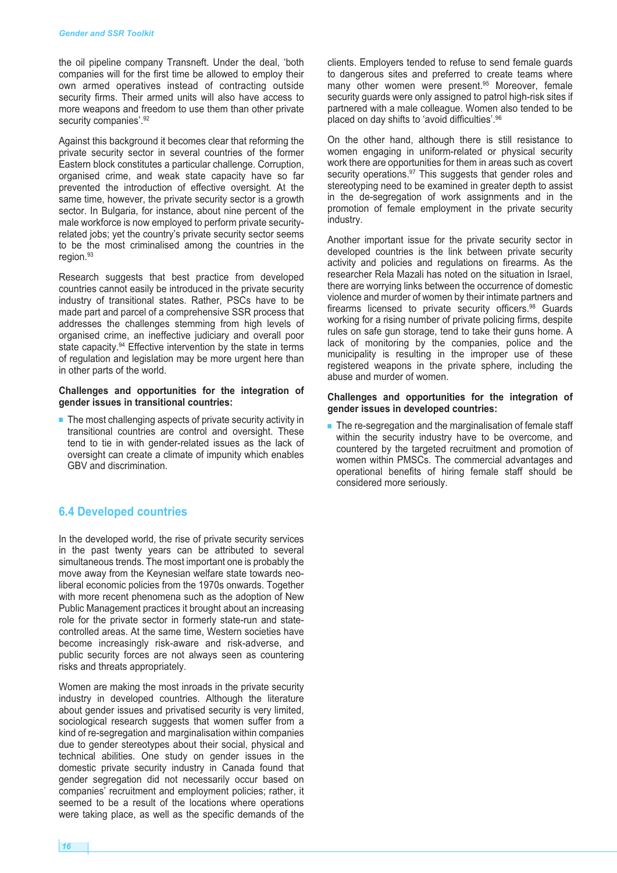the oil pipeline company Transneft. Under the deal, 'both companies will for the first time be allowed to employ their own armed operatives instead of contracting outside security firms. Their armed units will also have access to more weapons and freedom to use them than other private security companies'.<sup>92</sup>

Against this background it becomes clear that reforming the private security sector in several countries of the former Eastern block constitutes a particular challenge. Corruption, organised crime, and weak state capacity have so far prevented the introduction of effective oversight. At the same time, however, the private security sector is a growth sector. In Bulgaria, for instance, about nine percent of the male workforce is now employed to perform private securityrelated jobs; yet the country's private security sector seems to be the most criminalised among the countries in the region. 93

Research suggests that best practice from developed countries cannot easily be introduced in the private security industry of transitional states. Rather, PSCs have to be made part and parcel of a comprehensive SSR process that addresses the challenges stemming from high levels of organised crime, an ineffective judiciary and overall poor state capacity.<sup>94</sup> Effective intervention by the state in terms of regulation and legislation may be more urgent here than in other parts of the world.

#### **Challenges and opportunities for the integration of gender issues in transitional countries:**

■ The most challenging aspects of private security activity in transitional countries are control and oversight. These tend to tie in with gender-related issues as the lack of oversight can create a climate of impunity which enables GBV and discrimination.

#### **6.4 Developed countries**

In the developed world, the rise of private security services in the past twenty years can be attributed to several simultaneous trends. The most important one is probably the move away from the Keynesian welfare state towards neoliberal economic policies from the 1970s onwards. Together with more recent phenomena such as the adoption of New Public Management practices it brought about an increasing role for the private sector in formerly state-run and statecontrolled areas. At the same time, Western societies have become increasingly risk-aware and risk-adverse, and public security forces are not always seen as countering risks and threats appropriately.

Women are making the most inroads in the private security industry in developed countries. Although the literature about gender issues and privatised security is very limited, sociological research suggests that women suffer from a kind of re-segregation and marginalisation within companies due to gender stereotypes about their social, physical and technical abilities. One study on gender issues in the domestic private security industry in Canada found that gender segregation did not necessarily occur based on companies' recruitment and employment policies; rather, it seemed to be a result of the locations where operations were taking place, as well as the specific demands of the

clients. Employers tended to refuse to send female guards to dangerous sites and preferred to create teams where many other women were present. <sup>95</sup> Moreover, female security guards were only assigned to patrol high-risk sites if partnered with a male colleague. Women also tended to be placed on day shifts to 'avoid difficulties'. 96

On the other hand, although there is still resistance to women engaging in uniform-related or physical security work there are opportunities for them in areas such as covert security operations.<sup>97</sup> This suggests that gender roles and stereotyping need to be examined in greater depth to assist in the de-segregation of work assignments and in the promotion of female employment in the private security industry.

Another important issue for the private security sector in developed countries is the link between private security activity and policies and regulations on firearms. As the researcher Rela Mazali has noted on the situation in Israel, there are worrying links between the occurrence of domestic violence and murder of women by their intimate partners and firearms licensed to private security officers.<sup>98</sup> Guards working for a rising number of private policing firms, despite rules on safe gun storage, tend to take their guns home. A lack of monitoring by the companies, police and the municipality is resulting in the improper use of these registered weapons in the private sphere, including the abuse and murder of women.

#### **Challenges and opportunities for the integration of gender issues in developed countries:**

■ The re-segregation and the marginalisation of female staff within the security industry have to be overcome, and countered by the targeted recruitment and promotion of women within PMSCs. The commercial advantages and operational benefits of hiring female staff should be considered more seriously.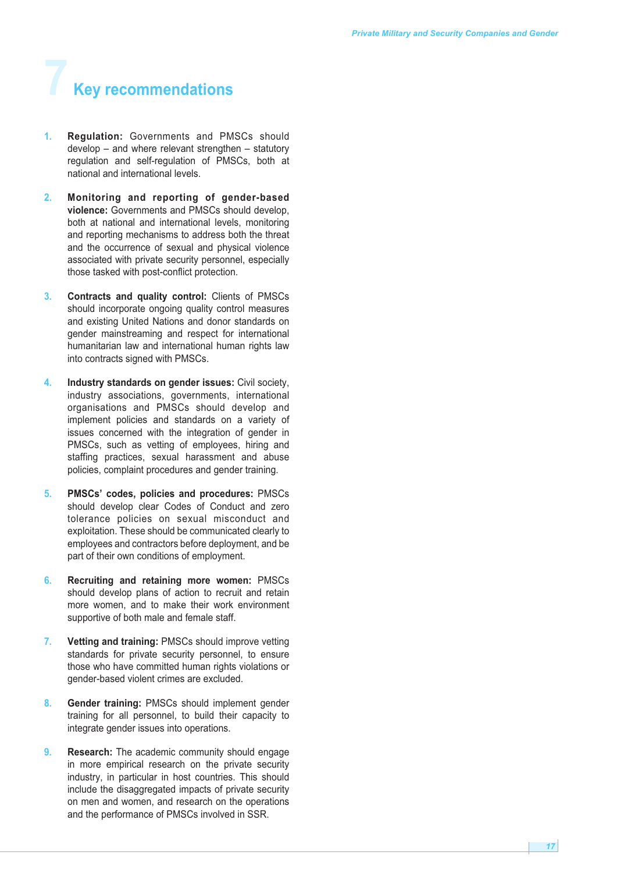## **7 Key recommendations**

- **1. Regulation:** Governments and PMSCs should develop – and where relevant strengthen – statutory regulation and self-regulation of PMSCs, both at national and international levels.
- **2. Monitoring and reporting of gender-based violence:** Governments and PMSCs should develop, both at national and international levels, monitoring and reporting mechanisms to address both the threat and the occurrence of sexual and physical violence associated with private security personnel, especially those tasked with post-conflict protection.
- **3. Contracts and quality control:** Clients of PMSCs should incorporate ongoing quality control measures and existing United Nations and donor standards on gender mainstreaming and respect for international humanitarian law and international human rights law into contracts signed with PMSCs.
- **4. Industry standards on gender issues:** Civil society, industry associations, governments, international organisations and PMSCs should develop and implement policies and standards on a variety of issues concerned with the integration of gender in PMSCs, such as vetting of employees, hiring and staffing practices, sexual harassment and abuse policies, complaint procedures and gender training.
- **5. PMSCs' codes, policies and procedures:** PMSCs should develop clear Codes of Conduct and zero tolerance policies on sexual misconduct and exploitation. These should be communicated clearly to employees and contractors before deployment, and be part of their own conditions of employment.
- **6. Recruiting and retaining more women:** PMSCs should develop plans of action to recruit and retain more women, and to make their work environment supportive of both male and female staff.
- **7. Vetting and training:** PMSCs should improve vetting standards for private security personnel, to ensure those who have committed human rights violations or gender-based violent crimes are excluded.
- **8. Gender training:** PMSCs should implement gender training for all personnel, to build their capacity to integrate gender issues into operations.
- **9. Research:** The academic community should engage in more empirical research on the private security industry, in particular in host countries. This should include the disaggregated impacts of private security on men and women, and research on the operations and the performance of PMSCs involved in SSR.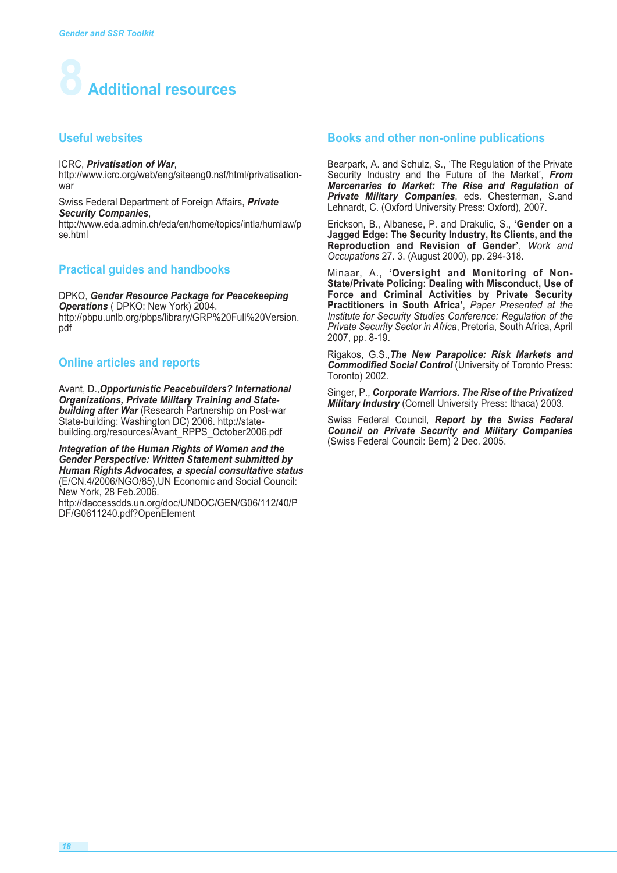

#### **Useful websites**

#### ICRC, *Privatisation of War*,

http://www.icrc.org/web/eng/siteeng0.nsf/html/privatisationwar

Swiss Federal Department of Foreign Affairs, *Private Security Companies*, http://www.eda.admin.ch/eda/en/home/topics/intla/humlaw/p se.html

#### **Practical guides and handbooks**

DPKO, *Gender Resource Package for Peacekeeping Operations* ( DPKO: New York) 2004. http://pbpu.unlb.org/pbps/library/GRP%20Full%20Version. pdf

#### **Online articles and reports**

Avant, D.,*Opportunistic Peacebuilders? International Organizations, Private Military Training and Statebuilding after War* (Research Partnership on Post-war State-building: Washington DC) 2006. http://statebuilding.org/resources/Avant\_RPPS\_October2006.pdf

*Integration of the Human Rights of Women and the Gender Perspective: Written Statement submitted by Human Rights Advocates, a special consultative status* (E/CN.4/2006/NGO/85),UN Economic and Social Council: New York, 28 Feb.2006.

http://daccessdds.un.org/doc/UNDOC/GEN/G06/112/40/P DF/G0611240.pdf?OpenElement

#### **Books and other non-online publications**

Bearpark, A. and Schulz, S., 'The Regulation of the Private Security Industry and the Future of the Market', *From Mercenaries to Market: The Rise and Regulation of Private Military Companies*, eds. Chesterman, S.and Lehnardt, C. (Oxford University Press: Oxford), 2007.

Erickson, B., Albanese, P. and Drakulic, S., **'Gender on a Jagged Edge: The Security Industry, Its Clients, and the Reproduction and Revision of Gender'**, *Work and Occupations* 27. 3. (August 2000), pp. 294-318.

Minaar, A., **'Oversight and Monitoring of Non-State/Private Policing: Dealing with Misconduct, Use of Force and Criminal Activities by Private Security Practitioners in South Africa'**, *Paper Presented at the Institute for Security Studies Conference: Regulation of the Private Security Sector in Africa*, Pretoria, South Africa, April 2007, pp. 8-19.

Rigakos, G.S.,*The New Parapolice: Risk Markets and Commodified Social Control* (University of Toronto Press: Toronto) 2002.

Singer, P., *Corporate Warriors. The Rise of the Privatized Military Industry* (Cornell University Press: Ithaca) 2003.

Swiss Federal Council, *Report by the Swiss Federal Council on Private Security and Military Companies* (Swiss Federal Council: Bern) 2 Dec. 2005.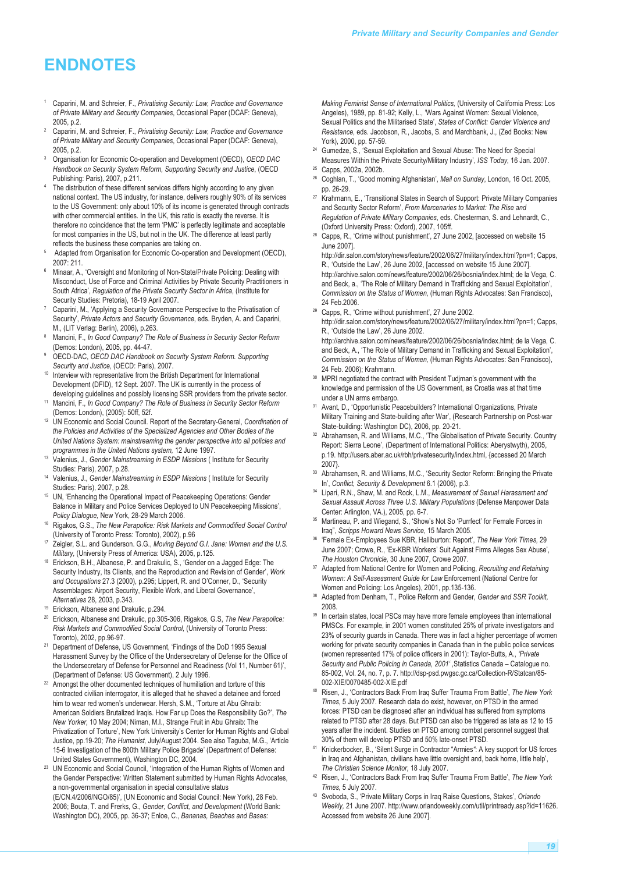## **ENDNOTES**

- <sup>1</sup> Caparini, M. and Schreier, F., *Privatising Security: Law, Practice and Governance of Private Military and Security Companies*, Occasional Paper (DCAF: Geneva), 2005, p.2.
- <sup>2</sup> Caparini, M. and Schreier, F., *Privatising Security: Law, Practice and Governance of Private Military and Security Companies*, Occasional Paper (DCAF: Geneva), 2005, p.2.
- <sup>3</sup> Organisation for Economic Co-operation and Development (OECD), *OECD DAC Handbook on Security System Reform, Supporting Security and Justice*, (OECD Publishing: Paris), 2007, p.211.
- The distribution of these different services differs highly according to any given national context. The US industry, for instance, delivers roughly 90% of its services to the US Government: only about 10% of its income is generated through contracts with other commercial entities. In the UK, this ratio is exactly the reverse. It is therefore no coincidence that the term 'PMC' is perfectly legitimate and acceptable for most companies in the US, but not in the UK. The difference at least partly reflects the business these companies are taking on.
- Adapted from Organisation for Economic Co-operation and Development (OECD), 2007: 211.
- Minaar, A., 'Oversight and Monitoring of Non-State/Private Policing: Dealing with Misconduct, Use of Force and Criminal Activities by Private Security Practitioners in South Africa', *Regulation of the Private Security Sector in Africa*, (Institute for Security Studies: Pretoria), 18-19 April 2007.
- Caparini, M., 'Applying a Security Governance Perspective to the Privatisation of Security', *Private Actors and Security Governance*, eds. Bryden, A. and Caparini, M., (LIT Verlag: Berlin), 2006), p.263.
- <sup>8</sup> Mancini, F., *In Good Company? The Role of Business in Security Sector Reform* (Demos: London), 2005, pp. 44-47.
- <sup>9</sup> OECD-DAC, *OECD DAC Handbook on Security System Reform. Supporting Security and Justice*, (OECD: Paris), 2007.
- <sup>10</sup> Interview with representative from the British Department for International Development (DFID), 12 Sept. 2007. The UK is currently in the process of developing guidelines and possibly licensing SSR providers from the private sector.
- <sup>11</sup> Mancini, F., *In Good Company? The Role of Business in Security Sector Reform* (Demos: London), (2005): 50ff, 52f.
- <sup>12</sup> UN Economic and Social Council. Report of the Secretary-General, *Coordination of the Policies and Activities of the Specialized Agencies and Other Bodies of the United Nations System: mainstreaming the gender perspective into all policies and programmes in the United Nations system,* 12 June 1997.
- <sup>13</sup> Valenius, J., *Gender Mainstreaming in ESDP Missions* ( Institute for Security Studies: Paris), 2007, p.28.
- <sup>14</sup> Valenius, J., *Gender Mainstreaming in ESDP Missions* ( Institute for Security Studies: Paris), 2007, p.28.
- <sup>15</sup> UN, 'Enhancing the Operational Impact of Peacekeeping Operations: Gender Balance in Military and Police Services Deployed to UN Peacekeeping Missions', *Policy Dialogue,* New York, 28-29 March 2006.
- <sup>16</sup> Rigakos, G.S., *The New Parapolice: Risk Markets and Commodified Social Control* (University of Toronto Press: Toronto), 2002), p.96
- <sup>17</sup> Zeigler, S.L. and Gunderson. G.G., *Moving Beyond G.I. Jane: Women and the U.S. Military,* (University Press of America: USA), 2005, p.125.
- Erickson, B.H., Albanese, P. and Drakulic, S., 'Gender on a Jagged Edge: The Security Industry, Its Clients, and the Reproduction and Revision of Gender', *Work and Occupations* 27.3 (2000), p.295; Lippert, R. and O'Conner, D., 'Security Assemblages: Airport Security, Flexible Work, and Liberal Governance', *Alternatives* 28, 2003, p.343.
- Erickson, Albanese and Drakulic, p.294.
- <sup>20</sup> Erickson, Albanese and Drakulic, pp.305-306, Rigakos, G.S, *The New Parapolice: Risk Markets and Commodified Social Control,* (University of Toronto Press: Toronto), 2002, pp.96-97.
- <sup>21</sup> Department of Defense, US Government, 'Findings of the DoD 1995 Sexual Harassment Survey by the Office of the Undersecretary of Defense for the Office of the Undersecretary of Defense for Personnel and Readiness (Vol 11, Number 61)', (Department of Defense: US Government), 2 July 1996.
- $22$  Amongst the other documented techniques of humiliation and torture of this contracted civilian interrogator, it is alleged that he shaved a detainee and forced him to wear red women's underwear. Hersh, S.M., 'Torture at Abu Ghraib: American Soldiers Brutalized Iraqis. How Far up Does the Responsibility Go?', *The New Yorker,* 10 May 2004; Niman, M.I., Strange Fruit in Abu Ghraib: The Privatization of Torture', New York University's Center for Human Rights and Global Justice, pp.19-20; *The Humanist,* July/August 2004. See also Taguba, M.G., 'Article 15-6 Investigation of the 800th Military Police Brigade' (Department of Defense: United States Government), Washington DC, 2004.
- <sup>23</sup> UN Economic and Social Council, 'Integration of the Human Rights of Women and the Gender Perspective: Written Statement submitted by Human Rights Advocates, a non-governmental organisation in special consultative status (E/CN.4/2006/NGO/85)', (UN Economic and Social Council: New York), 28 Feb. 2006; Bouta, T. and Frerks, G., *Gender, Conflict, and Development* (World Bank: Washington DC), 2005, pp. 36-37; Enloe, C., *Bananas, Beaches and Bases:*

*Making Feminist Sense of International Politics,* (University of California Press: Los Angeles), 1989, pp. 81-92; Kelly, L., 'Wars Against Women: Sexual Violence, Sexual Politics and the Militarised State', *States of Conflict: Gender Violence and Resistance*, eds. Jacobson, R., Jacobs, S. and Marchbank, J., (Zed Books: New York), 2000, pp. 57-59.

- Gumedze, S., 'Sexual Exploitation and Sexual Abuse: The Need for Special Measures Within the Private Security/Military Industry', *ISS Today,* 16 Jan. 2007. Capps, 2002a, 2002b.
- <sup>26</sup> Coghlan, T., 'Good morning Afghanistan', *Mail on Sunday*, London, 16 Oct. 2005, pp. 26-29.
- <sup>27</sup> Krahmann, E., 'Transitional States in Search of Support: Private Military Companies and Security Sector Reform', *From Mercenaries to Market: The Rise and Regulation of Private Military Companies*, eds. Chesterman, S. and Lehnardt, C., (Oxford University Press: Oxford), 2007, 105ff.
- <sup>28</sup> Capps, R., 'Crime without punishment', 27 June 2002, [accessed on website 15 June 2007].

http://dir.salon.com/story/news/feature/2002/06/27/military/index.html?pn=1; Capps, R., 'Outside the Law', 26 June 2002, [accessed on website 15 June 2007]. http://archive.salon.com/news/feature/2002/06/26/bosnia/index.html; de la Vega, C. and Beck, a., 'The Role of Military Demand in Trafficking and Sexual Exploitation', *Commission on the Status of Women,* (Human Rights Advocates: San Francisco), 24 Feb.2006.

- <sup>29</sup> Capps, R., 'Crime without punishment', 27 June 2002. http://dir.salon.com/story/news/feature/2002/06/27/military/index.html?pn=1; Capps, R., 'Outside the Law', 26 June 2002.
	- http://archive.salon.com/news/feature/2002/06/26/bosnia/index.html; de la Vega, C. and Beck, A., 'The Role of Military Demand in Trafficking and Sexual Exploitation', *Commission on the Status of Women,* (Human Rights Advocates: San Francisco), 24 Feb. 2006); Krahmann.
- MPRI negotiated the contract with President Tudjman's government with the knowledge and permission of the US Government, as Croatia was at that time under a UN arms embargo.
- <sup>31</sup> Avant, D., 'Opportunistic Peacebuilders? International Organizations, Private Military Training and State-building after War', (Research Partnership on Post-war State-building: Washington DC), 2006, pp. 20-21.
- <sup>32</sup> Abrahamsen, R. and Williams, M.C., 'The Globalisation of Private Security. Country Report: Sierra Leone', (Department of International Politics: Aberystwyth), 2005, p.19. http://users.aber.ac.uk/rbh/privatesecurity/index.html, {accessed 20 March 2007}.
- 33 Abrahamsen, R. and Williams, M.C., 'Security Sector Reform: Bringing the Private In', *Conflict, Security & Development* 6.1 (2006), p.3.
- <sup>34</sup> Lipari, R.N., Shaw, M. and Rock, L.M., *Measurement of Sexual Harassment and Sexual Assault Across Three U.S. Military Populations* (Defense Manpower Data Center: Arlington, VA.), 2005, pp. 6-7.
- <sup>35</sup> Martineau, P. and Wiegand, S., 'Show's Not So 'Purrfect' for Female Forces in Iraq", *Scripps Howard News Service,* 15 March 2005.
- <sup>36</sup> 'Female Ex-Employees Sue KBR, Halliburton: Report', *The New York Times,* 29 June 2007; Crowe, R., 'Ex-KBR Workers' Suit Against Firms Alleges Sex Abuse', *The Houston Chronicle,* 30 June 2007, Crowe 2007.
- <sup>37</sup> Adapted from National Centre for Women and Policing, *Recruiting and Retaining Women: A Self-Assessment Guide for Law* Enforcement (National Centre for Women and Policing: Los Angeles), 2001, pp.135-136.
- <sup>38</sup> Adapted from Denham, T., Police Reform and Gender, *Gender and SSR Toolkit,* 2008.
- <sup>39</sup> In certain states, local PSCs may have more female employees than international PMSCs. For example, in 2001 women constituted 25% of private investigators and 23% of security guards in Canada. There was in fact a higher percentage of women working for private security companies in Canada than in the public police services (women represented 17% of police officers in 2001): Taylor-Butts, A., *'Private Security and Public Policing in Canada, 2001'* ,Statistics Canada – Catalogue no. 85-002, Vol. 24, no. 7, p. 7. http://dsp-psd.pwgsc.gc.ca/Collection-R/Statcan/85- 002-XIE/0070485-002-XIE.pdf
- <sup>40</sup> Risen, J., 'Contractors Back From Iraq Suffer Trauma From Battle', *The New York Times,* 5 July 2007. Research data do exist, however, on PTSD in the armed forces: PTSD can be diagnosed after an individual has suffered from symptoms related to PTSD after 28 days. But PTSD can also be triggered as late as 12 to 15 years after the incident. Studies on PTSD among combat personnel suggest that 30% of them will develop PTSD and 50% late-onset PTSD.
- <sup>41</sup> Knickerbocker, B., 'Silent Surge in Contractor "Armies*"*: A key support for US forces in Iraq and Afghanistan, civilians have little oversight and, back home, little help', *The Christian Science Monitor,* 18 July 2007.
- <sup>42</sup> Risen, J., 'Contractors Back From Iraq Suffer Trauma From Battle', *The New York Times,* 5 July 2007.
- <sup>43</sup> Svoboda, S., 'Private Military Corps in Iraq Raise Questions, Stakes', *Orlando Weekly,* 21 June 2007. http://www.orlandoweekly.com/util/printready.asp?id=11626. Accessed from website 26 June 2007].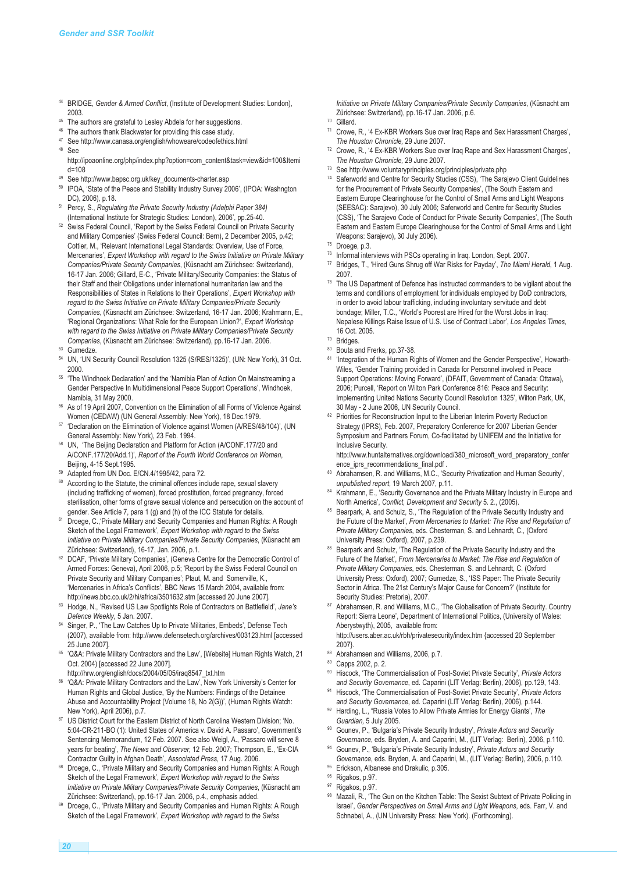- <sup>44</sup> BRIDGE, *Gender & Armed Conflict*, (Institute of Development Studies: London), 2003.
- <sup>45</sup> The authors are grateful to Lesley Abdela for her suggestions.
- <sup>46</sup> The authors thank Blackwater for providing this case study.
- <sup>47</sup> See http://www.canasa.org/english/whoweare/codeofethics.html
- <sup>48</sup> See http://ipoaonline.org/php/index.php?option=com\_content&task=view&id=100&Itemi d=108
- <sup>49</sup> See http://www.bapsc.org.uk/key\_documents-charter.asp
- <sup>50</sup> IPOA, 'State of the Peace and Stability Industry Survey 2006', (IPOA: Washngton DC), 2006), p.18.
- <sup>51</sup> Percy, S., *Regulating the Private Security Industry (Adelphi Paper 384)* (International Institute for Strategic Studies: London), 2006', pp.25-40.
- <sup>52</sup> Swiss Federal Council, 'Report by the Swiss Federal Council on Private Security and Military Companies' (Swiss Federal Council: Bern), 2 December 2005, p.42; Cottier, M., 'Relevant International Legal Standards: Overview, Use of Force, Mercenaries', *Expert Workshop with regard to the Swiss Initiative on Private Military Companies/Private Security Companies*, (Küsnacht am Zürichsee: Switzerland), 16-17 Jan. 2006; Gillard, E-C., 'Private Military/Security Companies: the Status of their Staff and their Obligations under international humanitarian law and the Responsibilities of States in Relations to their Operations', *Expert Workshop with regard to the Swiss Initiative on Private Military Companies/Private Security Companies*, (Küsnacht am Zürichsee: Switzerland, 16-17 Jan. 2006; Krahmann, E., 'Regional Organizations: What Role for the European Union?', *Expert Workshop with regard to the Swiss Initiative on Private Military Companies/Private Security Companies*, (Küsnacht am Zürichsee: Switzerland), pp.16-17 Jan. 2006.
- <sup>53</sup> Gumedze.
- <sup>54</sup> UN, 'UN Security Council Resolution 1325 (S/RES/1325)', (UN: New York), 31 Oct. 2000.
- <sup>55</sup> 'The Windhoek Declaration' and the 'Namibia Plan of Action On Mainstreaming a Gender Perspective In Multidimensional Peace Support Operations', Windhoek, Namibia, 31 May 2000.
- <sup>56</sup> As of 19 April 2007, Convention on the Elimination of all Forms of Violence Against Women (CEDAW) (UN General Assembly: New York), 18 Dec.1979.
- <sup>57</sup> 'Declaration on the Elimination of Violence against Women (A/RES/48/104)', (UN General Assembly: New York), 23 Feb. 1994.
- <sup>58</sup> UN, 'The Beijing Declaration and Platform for Action (A/CONF.177/20 and A/CONF.177/20/Add.1)', *Report of the Fourth World Conference on Women*, Beijing, 4-15 Sept.1995.
- <sup>59</sup> Adapted from UN Doc. E/CN.4/1995/42, para 72.
- <sup>60</sup> According to the Statute, the criminal offences include rape, sexual slavery (including trafficking of women), forced prostitution, forced pregnancy, forced sterilisation, other forms of grave sexual violence and persecution on the account of gender. See Article 7, para 1 (g) and (h) of the ICC Statute for details
- <sup>61</sup> Droege, C., Private Military and Security Companies and Human Rights: A Rough Sketch of the Legal Framework', *Expert Workshop with regard to the Swiss Initiative on Private Military Companies/Private Security Companies*, (Küsnacht am Zürichsee: Switzerland), 16-17, Jan. 2006, p.1.
- <sup>62</sup> DCAF, 'Private Military Companies', (Geneva Centre for the Democratic Control of Armed Forces: Geneva), April 2006, p.5; 'Report by the Swiss Federal Council on Private Security and Military Companies'; Plaut, M. and Somerville, K., 'Mercenaries in Africa's Conflicts', BBC News 15 March 2004, available from: http://news.bbc.co.uk/2/hi/africa/3501632.stm [accessed 20 June 2007].
- <sup>63</sup> Hodge, N., 'Revised US Law Spotlights Role of Contractors on Battlefield', *Jane's Defence Weekly,* 5 Jan. 2007.
- <sup>64</sup> Singer, P., 'The Law Catches Up to Private Militaries, Embeds', Defense Tech (2007), available from: http://www.defensetech.org/archives/003123.html [accessed 25 June 2007].
- <sup>65</sup> 'Q&A: Private Military Contractors and the Law', [Website] Human Rights Watch, 21 Oct. 2004) [accessed 22 June 2007].
- http://hrw.org/english/docs/2004/05/05/iraq8547\_txt.htm <sup>66</sup> 'Q&A: Private Military Contractors and the Law', New York University's Center for Human Rights and Global Justice, 'By the Numbers: Findings of the Detainee Abuse and Accountability Project (Volume 18, No 2(G))', (Human Rights Watch: New York), April 2006), p.7.
- <sup>67</sup> US District Court for the Eastern District of North Carolina Western Division; 'No. 5:04-CR-211-BO (1): United States of America v. David A. Passaro', Government's Sentencing Memorandum, 12 Feb. 2007. See also Weigl, A., 'Passaro will serve 8 years for beating', *The News and Observer,* 12 Feb. 2007; Thompson, E., 'Ex-CIA Contractor Guilty in Afghan Death', *Associated Press,* 17 Aug. 2006.
- 68 Droege, C., 'Private Military and Security Companies and Human Rights: A Rough Sketch of the Legal Framework', *Expert Workshop with regard to the Swiss Initiative on Private Military Companies/Private Security Companies*, (Küsnacht am Zürichsee: Switzerland), pp.16-17 Jan. 2006, p.4., emphasis added.
- 69 Droege, C., 'Private Military and Security Companies and Human Rights: A Rough Sketch of the Legal Framework', *Expert Workshop with regard to the Swiss*

*Initiative on Private Military Companies/Private Security Companies*, (Küsnacht am Zürichsee: Switzerland), pp.16-17 Jan. 2006, p.6.

- $70$  Gillard.<br> $71$  Crowe
- <sup>71</sup> Crowe, R., '4 Ex-KBR Workers Sue over Iraq Rape and Sex Harassment Charges', *The Houston Chronicle,* 29 June 2007.
- <sup>72</sup> Crowe, R., '4 Ex-KBR Workers Sue over Iraq Rape and Sex Harassment Charges', *The Houston Chronicle,* 29 June 2007.
- See http://www.voluntaryprinciples.org/principles/private.php
- Saferworld and Centre for Security Studies (CSS), 'The Sarajevo Client Guidelines for the Procurement of Private Security Companies', (The South Eastern and Eastern Europe Clearinghouse for the Control of Small Arms and Light Weapons (SEESAC): Sarajevo), 30 July 2006; Saferworld and Centre for Security Studies (CSS), 'The Sarajevo Code of Conduct for Private Security Companies', (The South Eastern and Eastern Europe Clearinghouse for the Control of Small Arms and Light Weapons: Sarajevo), 30 July 2006).
- <sup>75</sup> Droege, p.3.
- <sup>76</sup> Informal interviews with PSCs operating in Iraq. London, Sept. 2007.
- <sup>77</sup> Bridges, T., 'Hired Guns Shrug off War Risks for Payday', *The Miami Herald,* 1 Aug. 2007.
- The US Department of Defence has instructed commanders to be vigilant about the terms and conditions of employment for individuals employed by DoD contractors, in order to avoid labour trafficking, including involuntary servitude and debt bondage; Miller, T.C., 'World's Poorest are Hired for the Worst Jobs in Iraq: Nepalese Killings Raise Issue of U.S. Use of Contract Labor', *Los Angeles Times,* 16 Oct. 2005.
- <sup>79</sup> Bridges.
- Bouta and Frerks, pp.37-38.
- 'Integration of the Human Rights of Women and the Gender Perspective', Howarth-Wiles, 'Gender Training provided in Canada for Personnel involved in Peace Support Operations: Moving Forward', (DFAIT, Government of Canada: Ottawa), 2006; Purcell, 'Report on Wilton Park Conference 816: Peace and Security: Implementing United Nations Security Council Resolution 1325', Wilton Park, UK, 30 May - 2 June 2006, UN Security Council.
- 82 Priorities for Reconstruction Input to the Liberian Interim Poverty Reduction Strategy (IPRS), Feb. 2007, Preparatory Conference for 2007 Liberian Gender Symposium and Partners Forum, Co-facilitated by UNIFEM and the Initiative for Inclusive Security.

http://www.huntalternatives.org/download/380\_microsoft\_word\_preparatory\_confer ence\_iprs\_recommendations\_final.pdf .

- 83 Abrahamsen, R. and Williams, M.C., 'Security Privatization and Human Security', *unpublished report*, 19 March 2007, p.11.
- <sup>84</sup> Krahmann, E., 'Security Governance and the Private Military Industry in Europe and North America', *Conflict, Development and Security* 5. 2., (2005).
- Bearpark, A. and Schulz, S., 'The Regulation of the Private Security Industry and the Future of the Market', *From Mercenaries to Market: The Rise and Regulation of Private Military Companies*, eds. Chesterman, S. and Lehnardt, C., (Oxford University Press: Oxford), 2007, p.239.
- Bearpark and Schulz, 'The Regulation of the Private Security Industry and the Future of the Market', *From Mercenaries to Market: The Rise and Regulation of Private Military Companies*, eds. Chesterman, S. and Lehnardt, C. (Oxford University Press: Oxford), 2007; Gumedze, S., 'ISS Paper: The Private Security Sector in Africa. The 21st Century's Major Cause for Concern?' (Institute for Security Studies: Pretoria), 2007.
- Abrahamsen, R. and Williams, M.C., 'The Globalisation of Private Security. Country Report: Sierra Leone', Department of International Politics, (University of Wales: Aberystwyth), 2005, available from:

http://users.aber.ac.uk/rbh/privatesecurity/index.htm {accessed 20 September 2007}.

- <sup>89</sup> Capps 2002, p. 2.
- <sup>90</sup> Hiscock, 'The Commercialisation of Post-Soviet Private Security', *Private Actors and Security Governance*, ed. Caparini (LIT Verlag: Berlin), 2006), pp.129, 143.
- <sup>91</sup> Hiscock, 'The Commercialisation of Post-Soviet Private Security', *Private Actors and Security Governance*, ed. Caparini (LIT Verlag: Berlin), 2006), p.144.
- <sup>92</sup> Harding, L., "Russia Votes to Allow Private Armies for Energy Giants', *The Guardian,* 5 July 2005.
- <sup>93</sup> Gounev, P., 'Bulgaria's Private Security Industry', *Private Actors and Security Governance*, eds. Bryden, A. and Caparini, M., (LIT Verlag: Berlin), 2006, p.110.
- <sup>94</sup> Gounev, P., 'Bulgaria's Private Security Industry', *Private Actors and Security Governance*, eds. Bryden, A. and Caparini, M., (LIT Verlag: Berlin), 2006, p.110.
- 95 Erickson, Albanese and Drakulic, p.305.
- 96 Rigakos, p.97.
- Rigakos, p.97.
- Mazali, R., 'The Gun on the Kitchen Table: The Sexist Subtext of Private Policing in Israel', *Gender Perspectives on Small Arms and Light Weapons*, eds. Farr, V. and Schnabel, A., (UN University Press: New York). (Forthcoming).

<sup>88</sup> Abrahamsen and Williams, 2006, p.7.